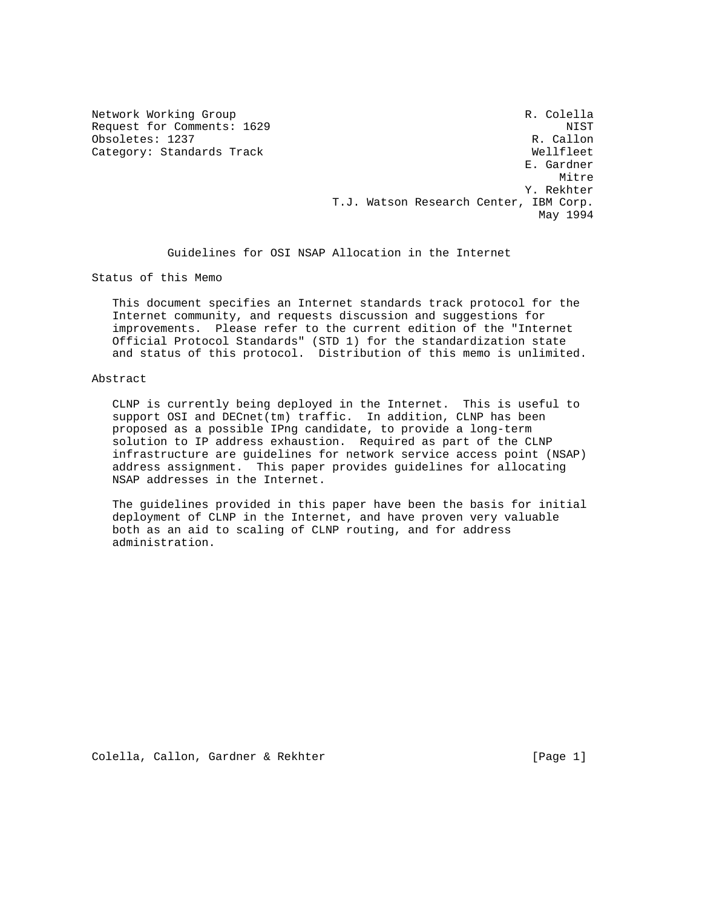Category: Standards Track

Network Working Group and Communications of the R. Colella Request for Comments: 1629 NIST<br>Obsoletes: 1237 R. Callon Obsoletes: 1237<br>Category: Standards Track Callon (Research Mellfleet) E. Gardner **Mitre** Mitre of the Mitre of the Mitre of the Mitre of the Mitre of the Mitre of the Mitre of the Mitre of the Mi Y. Rekhter T.J. Watson Research Center, IBM Corp. May 1994

Guidelines for OSI NSAP Allocation in the Internet

Status of this Memo

 This document specifies an Internet standards track protocol for the Internet community, and requests discussion and suggestions for improvements. Please refer to the current edition of the "Internet Official Protocol Standards" (STD 1) for the standardization state and status of this protocol. Distribution of this memo is unlimited.

#### Abstract

 CLNP is currently being deployed in the Internet. This is useful to support OSI and DECnet(tm) traffic. In addition, CLNP has been proposed as a possible IPng candidate, to provide a long-term solution to IP address exhaustion. Required as part of the CLNP infrastructure are guidelines for network service access point (NSAP) address assignment. This paper provides guidelines for allocating NSAP addresses in the Internet.

 The guidelines provided in this paper have been the basis for initial deployment of CLNP in the Internet, and have proven very valuable both as an aid to scaling of CLNP routing, and for address administration.

Colella, Callon, Gardner & Rekhter [Page 1]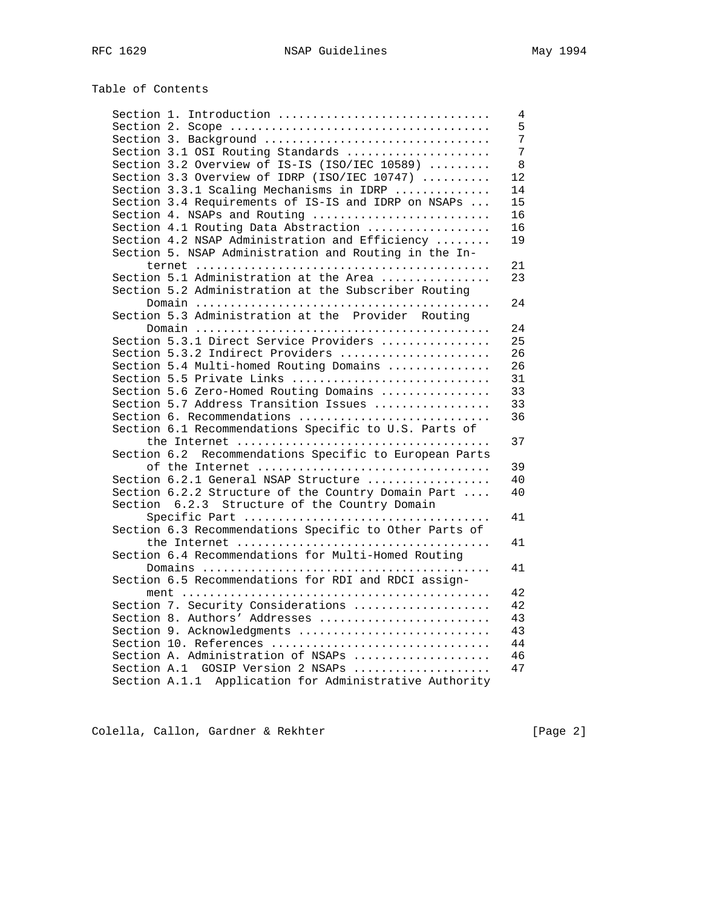| Table of Contents |  |
|-------------------|--|
|-------------------|--|

| Section 1. Introduction                                | 4  |
|--------------------------------------------------------|----|
|                                                        | 5  |
| Section 3. Background                                  | 7  |
| Section 3.1 OSI Routing Standards                      | 7  |
| Section 3.2 Overview of IS-IS (ISO/IEC 10589)          | 8  |
| Section 3.3 Overview of IDRP (ISO/IEC 10747)           | 12 |
| Section 3.3.1 Scaling Mechanisms in IDRP               | 14 |
| Section 3.4 Requirements of IS-IS and IDRP on NSAPs    | 15 |
| Section 4. NSAPs and Routing                           | 16 |
| Section 4.1 Routing Data Abstraction                   | 16 |
| Section 4.2 NSAP Administration and Efficiency         | 19 |
| Section 5. NSAP Administration and Routing in the In-  |    |
|                                                        | 21 |
| Section 5.1 Administration at the Area                 | 23 |
| Section 5.2 Administration at the Subscriber Routing   |    |
|                                                        | 24 |
| Section 5.3 Administration at the Provider Routing     |    |
|                                                        | 24 |
| Section 5.3.1 Direct Service Providers                 | 25 |
| Section 5.3.2 Indirect Providers                       | 26 |
| Section 5.4 Multi-homed Routing Domains                | 26 |
| Section 5.5 Private Links                              | 31 |
| Section 5.6 Zero-Homed Routing Domains                 | 33 |
| Section 5.7 Address Transition Issues                  | 33 |
| Section 6. Recommendations                             | 36 |
| Section 6.1 Recommendations Specific to U.S. Parts of  |    |
|                                                        | 37 |
| Section 6.2 Recommendations Specific to European Parts |    |
| of the Internet                                        | 39 |
| Section 6.2.1 General NSAP Structure                   | 40 |
| Section 6.2.2 Structure of the Country Domain Part     | 40 |
| Structure of the Country Domain<br>6.2.3<br>Section    |    |
|                                                        | 41 |
| Section 6.3 Recommendations Specific to Other Parts of |    |
|                                                        | 41 |
| Section 6.4 Recommendations for Multi-Homed Routing    |    |
|                                                        | 41 |
| Section 6.5 Recommendations for RDI and RDCI assign-   |    |
|                                                        | 42 |
| Section 7. Security Considerations                     | 42 |
| Section 8. Authors' Addresses                          | 43 |
| Section 9. Acknowledgments                             | 43 |
| Section 10. References                                 | 44 |
| Section A. Administration of NSAPs                     | 46 |
| Section A.1 GOSIP Version 2 NSAPs                      | 47 |
| Section A.1.1 Application for Administrative Authority |    |
|                                                        |    |

Colella, Callon, Gardner & Rekhter [Page 2]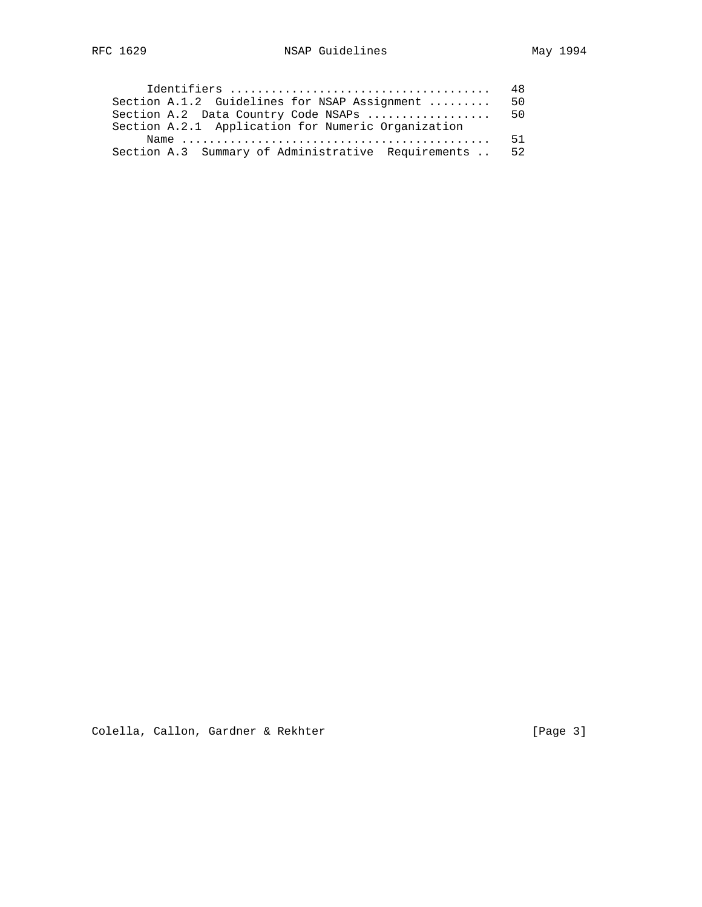|                                                                                                   | 48 |
|---------------------------------------------------------------------------------------------------|----|
| Section A.1.2 Guidelines for NSAP Assignment                                                      | 50 |
| Section A.2 Data Country Code NSAPs                                                               | 50 |
| Section A.2.1 Application for Numeric Organization                                                |    |
| Name $\ldots \ldots \ldots \ldots \ldots \ldots \ldots \ldots \ldots \ldots \ldots \ldots \ldots$ | 51 |
| Section A.3 Summary of Administrative Requirements                                                | 52 |

Colella, Callon, Gardner & Rekhter [Page 3]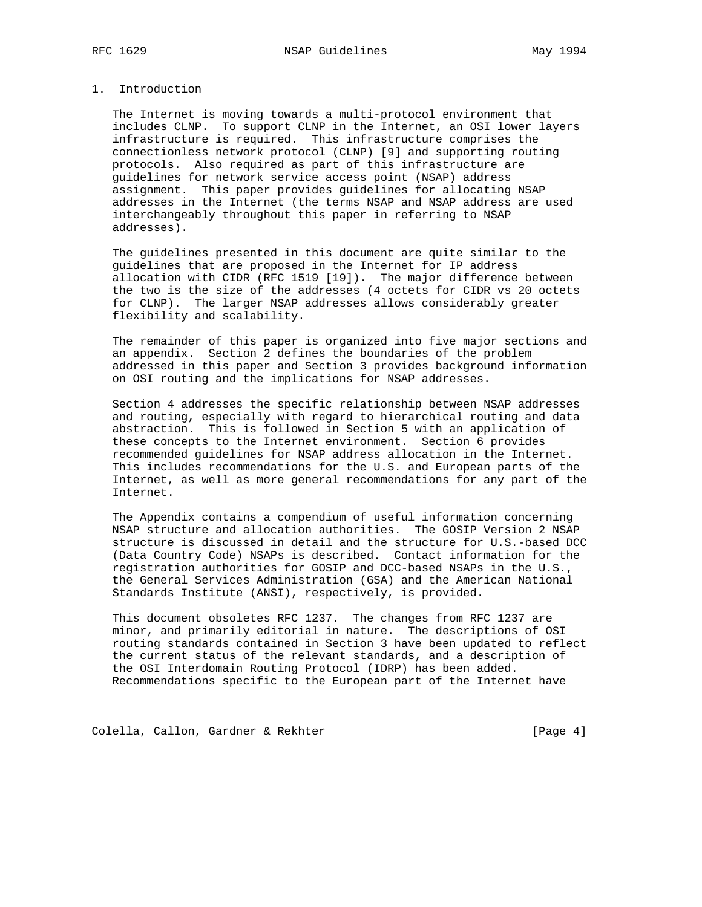## 1. Introduction

 The Internet is moving towards a multi-protocol environment that includes CLNP. To support CLNP in the Internet, an OSI lower layers infrastructure is required. This infrastructure comprises the connectionless network protocol (CLNP) [9] and supporting routing protocols. Also required as part of this infrastructure are guidelines for network service access point (NSAP) address assignment. This paper provides guidelines for allocating NSAP addresses in the Internet (the terms NSAP and NSAP address are used interchangeably throughout this paper in referring to NSAP addresses).

 The guidelines presented in this document are quite similar to the guidelines that are proposed in the Internet for IP address allocation with CIDR (RFC 1519 [19]). The major difference between the two is the size of the addresses (4 octets for CIDR vs 20 octets for CLNP). The larger NSAP addresses allows considerably greater flexibility and scalability.

 The remainder of this paper is organized into five major sections and an appendix. Section 2 defines the boundaries of the problem addressed in this paper and Section 3 provides background information on OSI routing and the implications for NSAP addresses.

 Section 4 addresses the specific relationship between NSAP addresses and routing, especially with regard to hierarchical routing and data abstraction. This is followed in Section 5 with an application of these concepts to the Internet environment. Section 6 provides recommended guidelines for NSAP address allocation in the Internet. This includes recommendations for the U.S. and European parts of the Internet, as well as more general recommendations for any part of the Internet.

 The Appendix contains a compendium of useful information concerning NSAP structure and allocation authorities. The GOSIP Version 2 NSAP structure is discussed in detail and the structure for U.S.-based DCC (Data Country Code) NSAPs is described. Contact information for the registration authorities for GOSIP and DCC-based NSAPs in the U.S., the General Services Administration (GSA) and the American National Standards Institute (ANSI), respectively, is provided.

 This document obsoletes RFC 1237. The changes from RFC 1237 are minor, and primarily editorial in nature. The descriptions of OSI routing standards contained in Section 3 have been updated to reflect the current status of the relevant standards, and a description of the OSI Interdomain Routing Protocol (IDRP) has been added. Recommendations specific to the European part of the Internet have

Colella, Callon, Gardner & Rekhter [Page 4]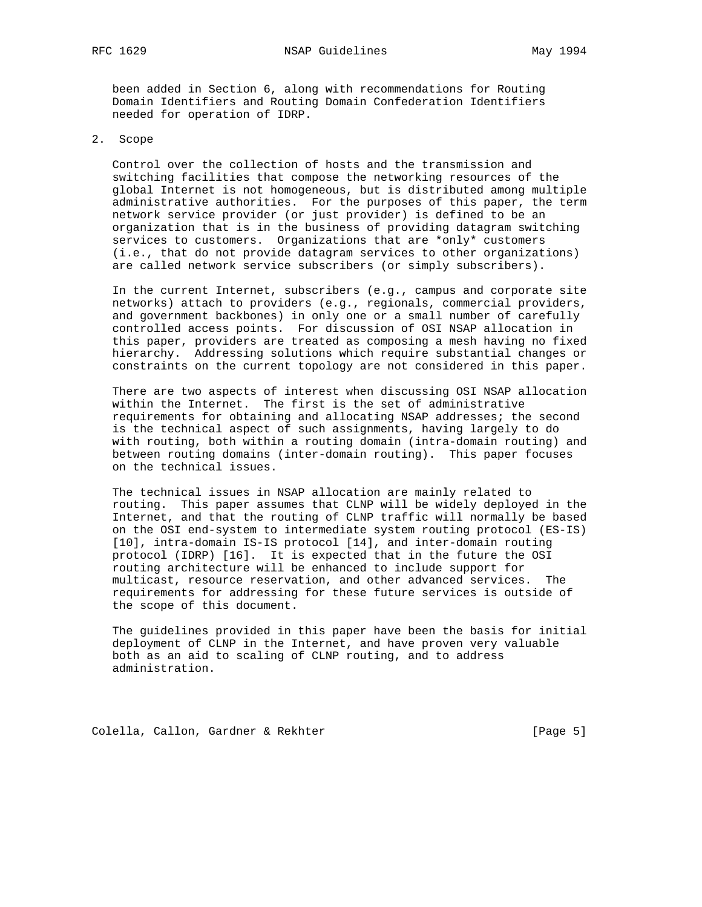been added in Section 6, along with recommendations for Routing Domain Identifiers and Routing Domain Confederation Identifiers needed for operation of IDRP.

## 2. Scope

 Control over the collection of hosts and the transmission and switching facilities that compose the networking resources of the global Internet is not homogeneous, but is distributed among multiple administrative authorities. For the purposes of this paper, the term network service provider (or just provider) is defined to be an organization that is in the business of providing datagram switching services to customers. Organizations that are \*only\* customers (i.e., that do not provide datagram services to other organizations) are called network service subscribers (or simply subscribers).

 In the current Internet, subscribers (e.g., campus and corporate site networks) attach to providers (e.g., regionals, commercial providers, and government backbones) in only one or a small number of carefully controlled access points. For discussion of OSI NSAP allocation in this paper, providers are treated as composing a mesh having no fixed hierarchy. Addressing solutions which require substantial changes or constraints on the current topology are not considered in this paper.

 There are two aspects of interest when discussing OSI NSAP allocation within the Internet. The first is the set of administrative requirements for obtaining and allocating NSAP addresses; the second is the technical aspect of such assignments, having largely to do with routing, both within a routing domain (intra-domain routing) and between routing domains (inter-domain routing). This paper focuses on the technical issues.

 The technical issues in NSAP allocation are mainly related to routing. This paper assumes that CLNP will be widely deployed in the Internet, and that the routing of CLNP traffic will normally be based on the OSI end-system to intermediate system routing protocol (ES-IS) [10], intra-domain IS-IS protocol [14], and inter-domain routing protocol (IDRP) [16]. It is expected that in the future the OSI routing architecture will be enhanced to include support for multicast, resource reservation, and other advanced services. The requirements for addressing for these future services is outside of the scope of this document.

 The guidelines provided in this paper have been the basis for initial deployment of CLNP in the Internet, and have proven very valuable both as an aid to scaling of CLNP routing, and to address administration.

Colella, Callon, Gardner & Rekhter [Page 5]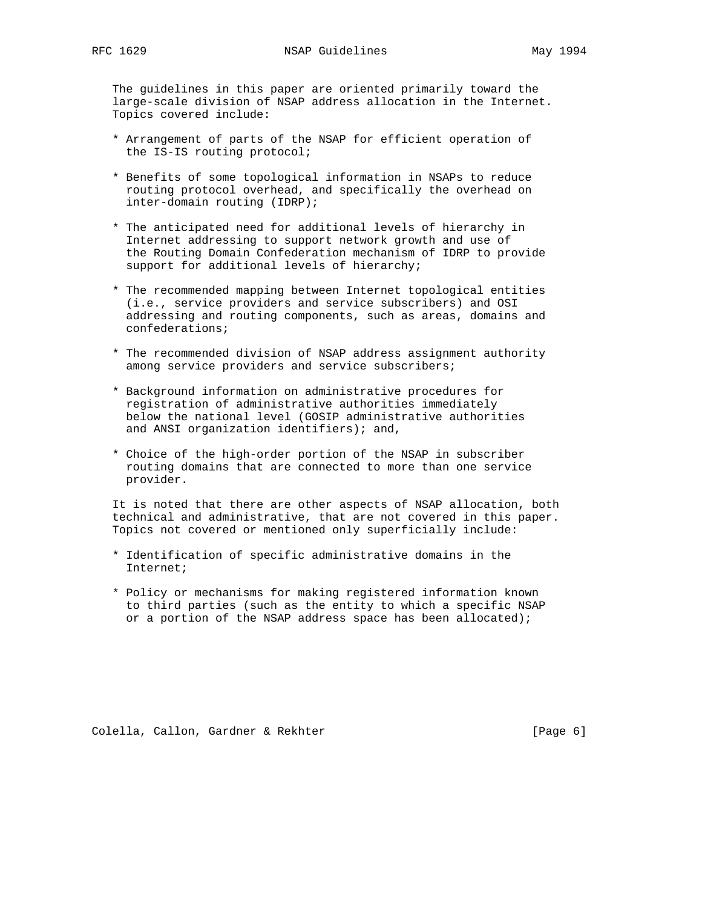The guidelines in this paper are oriented primarily toward the large-scale division of NSAP address allocation in the Internet. Topics covered include:

- \* Arrangement of parts of the NSAP for efficient operation of the IS-IS routing protocol;
- \* Benefits of some topological information in NSAPs to reduce routing protocol overhead, and specifically the overhead on inter-domain routing (IDRP);
- \* The anticipated need for additional levels of hierarchy in Internet addressing to support network growth and use of the Routing Domain Confederation mechanism of IDRP to provide support for additional levels of hierarchy;
- \* The recommended mapping between Internet topological entities (i.e., service providers and service subscribers) and OSI addressing and routing components, such as areas, domains and confederations;
- \* The recommended division of NSAP address assignment authority among service providers and service subscribers;
- \* Background information on administrative procedures for registration of administrative authorities immediately below the national level (GOSIP administrative authorities and ANSI organization identifiers); and,
- \* Choice of the high-order portion of the NSAP in subscriber routing domains that are connected to more than one service provider.

 It is noted that there are other aspects of NSAP allocation, both technical and administrative, that are not covered in this paper. Topics not covered or mentioned only superficially include:

- \* Identification of specific administrative domains in the Internet;
- \* Policy or mechanisms for making registered information known to third parties (such as the entity to which a specific NSAP or a portion of the NSAP address space has been allocated);

Colella, Callon, Gardner & Rekhter [Page 6]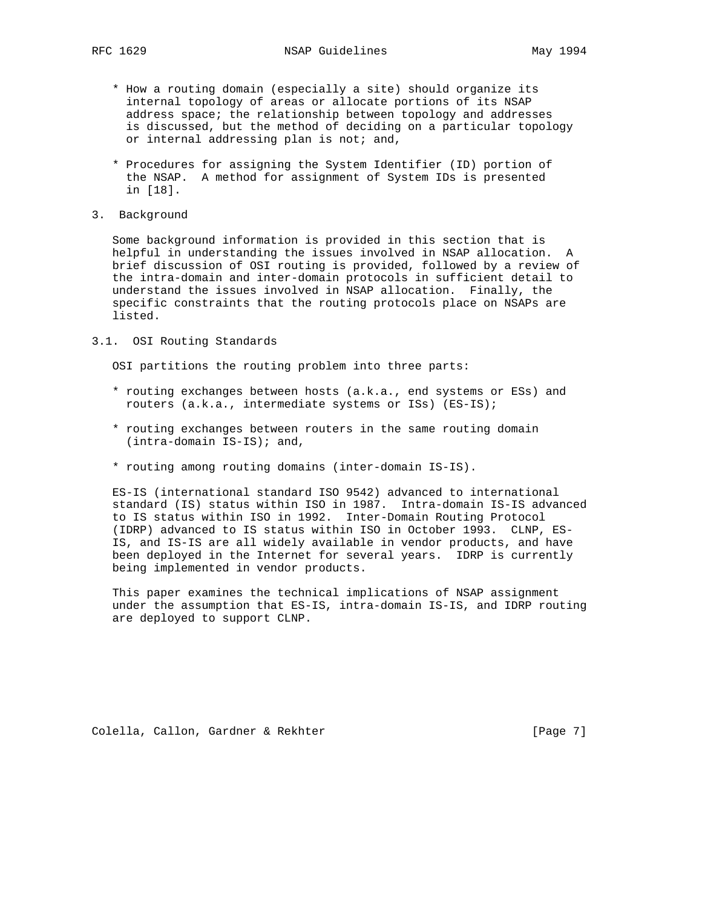- \* How a routing domain (especially a site) should organize its internal topology of areas or allocate portions of its NSAP address space; the relationship between topology and addresses is discussed, but the method of deciding on a particular topology or internal addressing plan is not; and,
- \* Procedures for assigning the System Identifier (ID) portion of the NSAP. A method for assignment of System IDs is presented in [18].
- 3. Background

 Some background information is provided in this section that is helpful in understanding the issues involved in NSAP allocation. A brief discussion of OSI routing is provided, followed by a review of the intra-domain and inter-domain protocols in sufficient detail to understand the issues involved in NSAP allocation. Finally, the specific constraints that the routing protocols place on NSAPs are listed.

3.1. OSI Routing Standards

OSI partitions the routing problem into three parts:

- \* routing exchanges between hosts (a.k.a., end systems or ESs) and routers (a.k.a., intermediate systems or ISs) (ES-IS);
- \* routing exchanges between routers in the same routing domain (intra-domain IS-IS); and,
- \* routing among routing domains (inter-domain IS-IS).

 ES-IS (international standard ISO 9542) advanced to international standard (IS) status within ISO in 1987. Intra-domain IS-IS advanced to IS status within ISO in 1992. Inter-Domain Routing Protocol (IDRP) advanced to IS status within ISO in October 1993. CLNP, ES- IS, and IS-IS are all widely available in vendor products, and have been deployed in the Internet for several years. IDRP is currently being implemented in vendor products.

 This paper examines the technical implications of NSAP assignment under the assumption that ES-IS, intra-domain IS-IS, and IDRP routing are deployed to support CLNP.

Colella, Callon, Gardner & Rekhter [Page 7]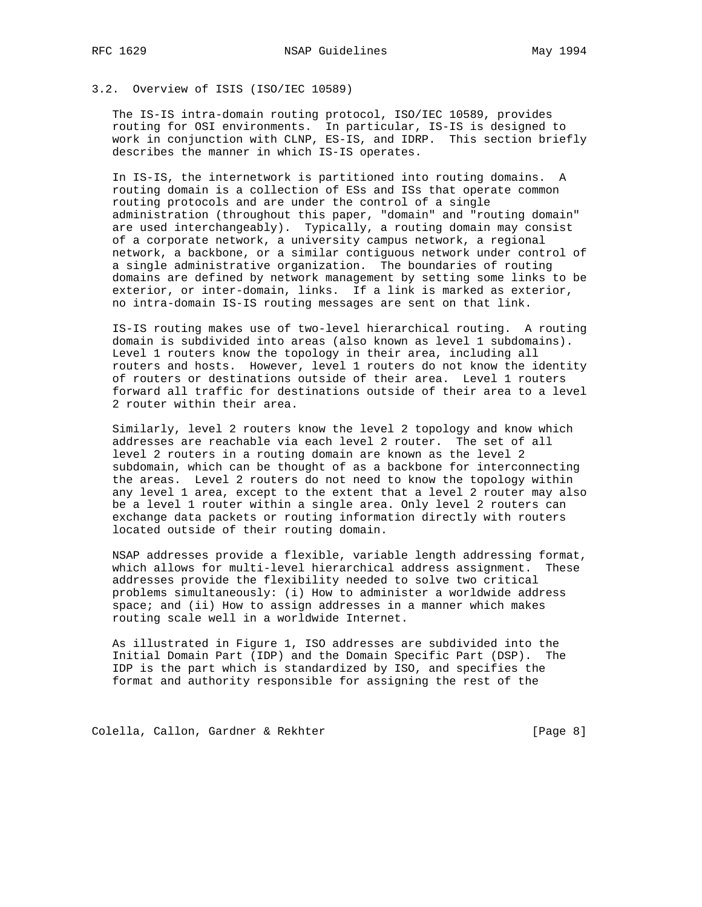## 3.2. Overview of ISIS (ISO/IEC 10589)

 The IS-IS intra-domain routing protocol, ISO/IEC 10589, provides routing for OSI environments. In particular, IS-IS is designed to work in conjunction with CLNP, ES-IS, and IDRP. This section briefly describes the manner in which IS-IS operates.

 In IS-IS, the internetwork is partitioned into routing domains. A routing domain is a collection of ESs and ISs that operate common routing protocols and are under the control of a single administration (throughout this paper, "domain" and "routing domain" are used interchangeably). Typically, a routing domain may consist of a corporate network, a university campus network, a regional network, a backbone, or a similar contiguous network under control of a single administrative organization. The boundaries of routing domains are defined by network management by setting some links to be exterior, or inter-domain, links. If a link is marked as exterior, no intra-domain IS-IS routing messages are sent on that link.

 IS-IS routing makes use of two-level hierarchical routing. A routing domain is subdivided into areas (also known as level 1 subdomains). Level 1 routers know the topology in their area, including all routers and hosts. However, level 1 routers do not know the identity of routers or destinations outside of their area. Level 1 routers forward all traffic for destinations outside of their area to a level 2 router within their area.

 Similarly, level 2 routers know the level 2 topology and know which addresses are reachable via each level 2 router. The set of all level 2 routers in a routing domain are known as the level 2 subdomain, which can be thought of as a backbone for interconnecting the areas. Level 2 routers do not need to know the topology within any level 1 area, except to the extent that a level 2 router may also be a level 1 router within a single area. Only level 2 routers can exchange data packets or routing information directly with routers located outside of their routing domain.

 NSAP addresses provide a flexible, variable length addressing format, which allows for multi-level hierarchical address assignment. These addresses provide the flexibility needed to solve two critical problems simultaneously: (i) How to administer a worldwide address space; and (ii) How to assign addresses in a manner which makes routing scale well in a worldwide Internet.

 As illustrated in Figure 1, ISO addresses are subdivided into the Initial Domain Part (IDP) and the Domain Specific Part (DSP). The IDP is the part which is standardized by ISO, and specifies the format and authority responsible for assigning the rest of the

Colella, Callon, Gardner & Rekhter [Page 8]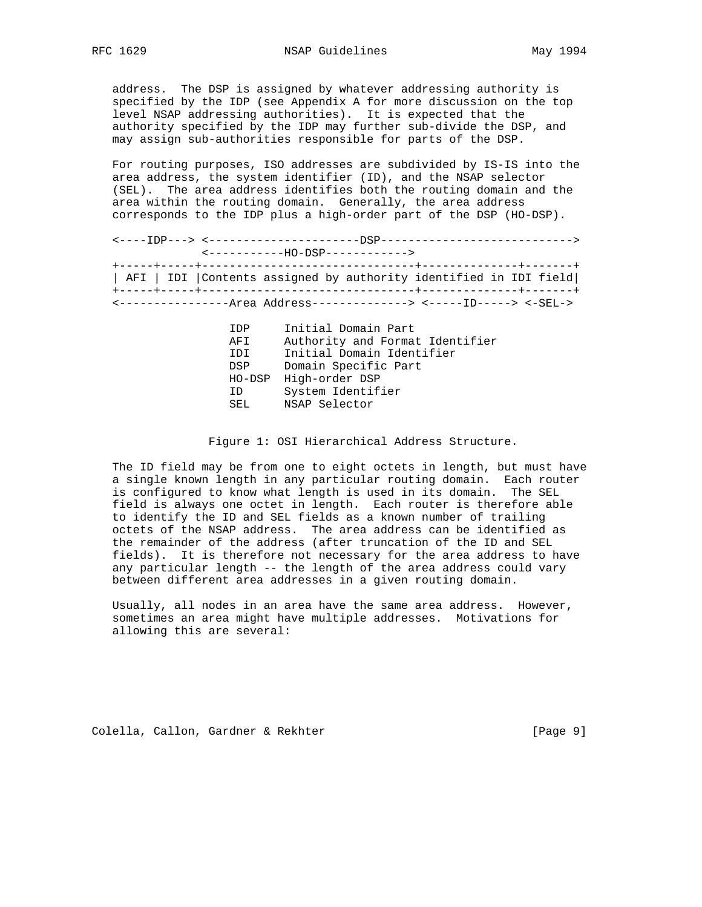address. The DSP is assigned by whatever addressing authority is specified by the IDP (see Appendix A for more discussion on the top level NSAP addressing authorities). It is expected that the authority specified by the IDP may further sub-divide the DSP, and may assign sub-authorities responsible for parts of the DSP.

 For routing purposes, ISO addresses are subdivided by IS-IS into the area address, the system identifier (ID), and the NSAP selector (SEL). The area address identifies both the routing domain and the area within the routing domain. Generally, the area address corresponds to the IDP plus a high-order part of the DSP (HO-DSP).

 <----IDP---> <----------------------DSP----------------------------> <-----------HO-DSP------------> +-----+-----+-------------------------------+--------------+-------+ | AFI | IDI |Contents assigned by authority identified in IDI field| +-----+-----+-------------------------------+--------------+-------+ <----------------Area Address--------------> <-----ID-----> <-SEL->

> IDP Initial Domain Part AFI Authority and Format Identifier IDI Initial Domain Identifier DSP Domain Specific Part HO-DSP High-order DSP ID System Identifier SEL NSAP Selector

Figure 1: OSI Hierarchical Address Structure.

 The ID field may be from one to eight octets in length, but must have a single known length in any particular routing domain. Each router is configured to know what length is used in its domain. The SEL field is always one octet in length. Each router is therefore able to identify the ID and SEL fields as a known number of trailing octets of the NSAP address. The area address can be identified as the remainder of the address (after truncation of the ID and SEL fields). It is therefore not necessary for the area address to have any particular length -- the length of the area address could vary between different area addresses in a given routing domain.

 Usually, all nodes in an area have the same area address. However, sometimes an area might have multiple addresses. Motivations for allowing this are several:

Colella, Callon, Gardner & Rekhter [Page 9]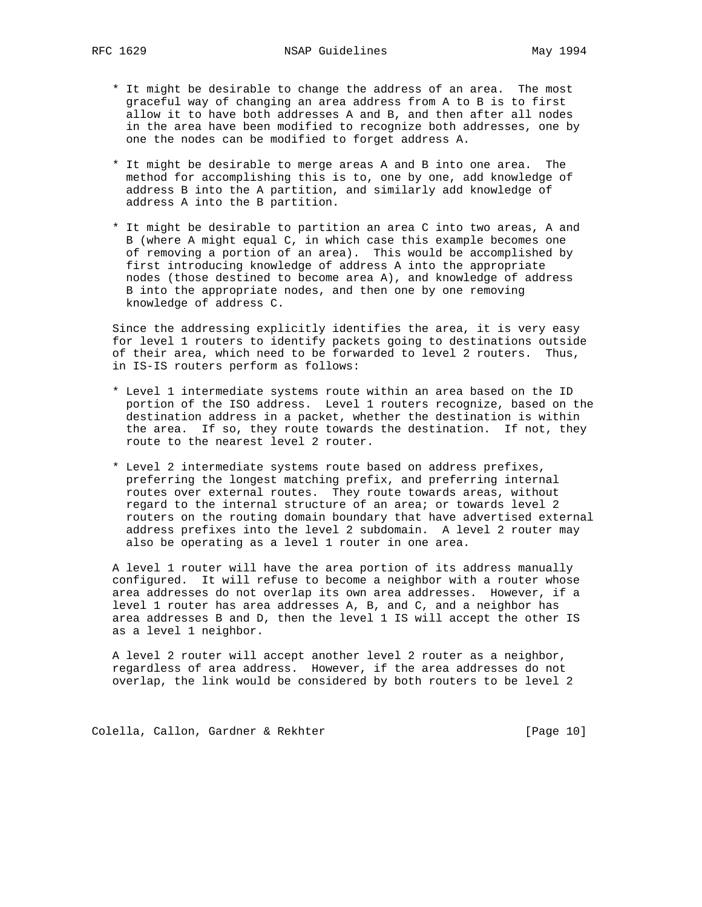- \* It might be desirable to change the address of an area. The most graceful way of changing an area address from A to B is to first allow it to have both addresses A and B, and then after all nodes in the area have been modified to recognize both addresses, one by one the nodes can be modified to forget address A.
- \* It might be desirable to merge areas A and B into one area. The method for accomplishing this is to, one by one, add knowledge of address B into the A partition, and similarly add knowledge of address A into the B partition.
- \* It might be desirable to partition an area C into two areas, A and B (where A might equal C, in which case this example becomes one of removing a portion of an area). This would be accomplished by first introducing knowledge of address A into the appropriate nodes (those destined to become area A), and knowledge of address B into the appropriate nodes, and then one by one removing knowledge of address C.

 Since the addressing explicitly identifies the area, it is very easy for level 1 routers to identify packets going to destinations outside of their area, which need to be forwarded to level 2 routers. Thus, in IS-IS routers perform as follows:

- \* Level 1 intermediate systems route within an area based on the ID portion of the ISO address. Level 1 routers recognize, based on the destination address in a packet, whether the destination is within the area. If so, they route towards the destination. If not, they route to the nearest level 2 router.
- \* Level 2 intermediate systems route based on address prefixes, preferring the longest matching prefix, and preferring internal routes over external routes. They route towards areas, without regard to the internal structure of an area; or towards level 2 routers on the routing domain boundary that have advertised external address prefixes into the level 2 subdomain. A level 2 router may also be operating as a level 1 router in one area.

 A level 1 router will have the area portion of its address manually configured. It will refuse to become a neighbor with a router whose area addresses do not overlap its own area addresses. However, if a level 1 router has area addresses A, B, and C, and a neighbor has area addresses B and D, then the level 1 IS will accept the other IS as a level 1 neighbor.

 A level 2 router will accept another level 2 router as a neighbor, regardless of area address. However, if the area addresses do not overlap, the link would be considered by both routers to be level 2

Colella, Callon, Gardner & Rekhter [Page 10]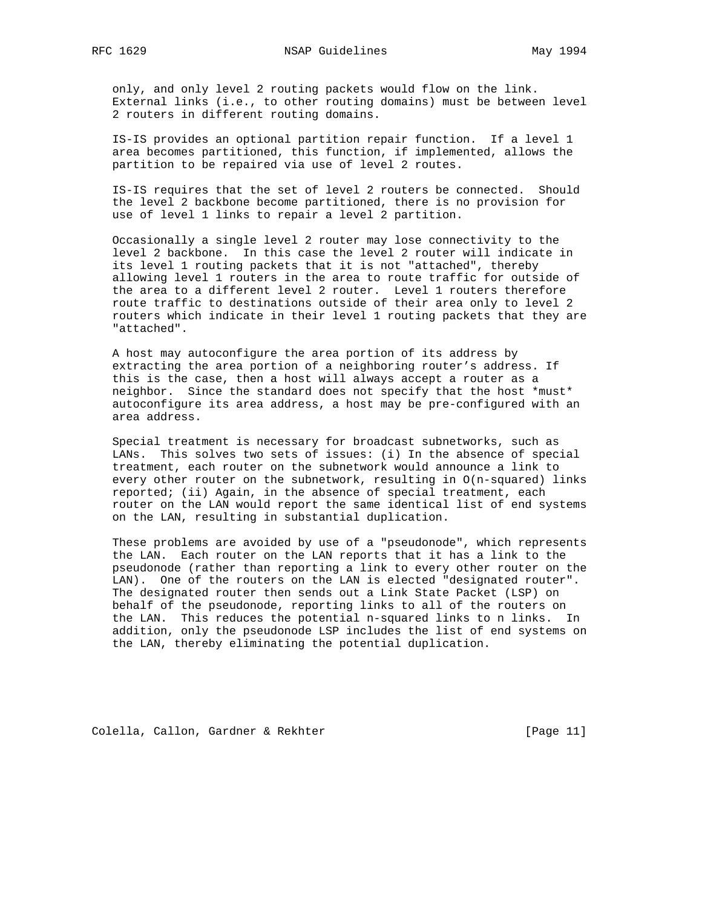only, and only level 2 routing packets would flow on the link. External links (i.e., to other routing domains) must be between level 2 routers in different routing domains.

 IS-IS provides an optional partition repair function. If a level 1 area becomes partitioned, this function, if implemented, allows the partition to be repaired via use of level 2 routes.

 IS-IS requires that the set of level 2 routers be connected. Should the level 2 backbone become partitioned, there is no provision for use of level 1 links to repair a level 2 partition.

 Occasionally a single level 2 router may lose connectivity to the level 2 backbone. In this case the level 2 router will indicate in its level 1 routing packets that it is not "attached", thereby allowing level 1 routers in the area to route traffic for outside of the area to a different level 2 router. Level 1 routers therefore route traffic to destinations outside of their area only to level 2 routers which indicate in their level 1 routing packets that they are "attached".

 A host may autoconfigure the area portion of its address by extracting the area portion of a neighboring router's address. If this is the case, then a host will always accept a router as a neighbor. Since the standard does not specify that the host \*must\* autoconfigure its area address, a host may be pre-configured with an area address.

 Special treatment is necessary for broadcast subnetworks, such as LANs. This solves two sets of issues: (i) In the absence of special treatment, each router on the subnetwork would announce a link to every other router on the subnetwork, resulting in O(n-squared) links reported; (ii) Again, in the absence of special treatment, each router on the LAN would report the same identical list of end systems on the LAN, resulting in substantial duplication.

 These problems are avoided by use of a "pseudonode", which represents the LAN. Each router on the LAN reports that it has a link to the pseudonode (rather than reporting a link to every other router on the LAN). One of the routers on the LAN is elected "designated router". The designated router then sends out a Link State Packet (LSP) on behalf of the pseudonode, reporting links to all of the routers on the LAN. This reduces the potential n-squared links to n links. In addition, only the pseudonode LSP includes the list of end systems on the LAN, thereby eliminating the potential duplication.

Colella, Callon, Gardner & Rekhter [Page 11]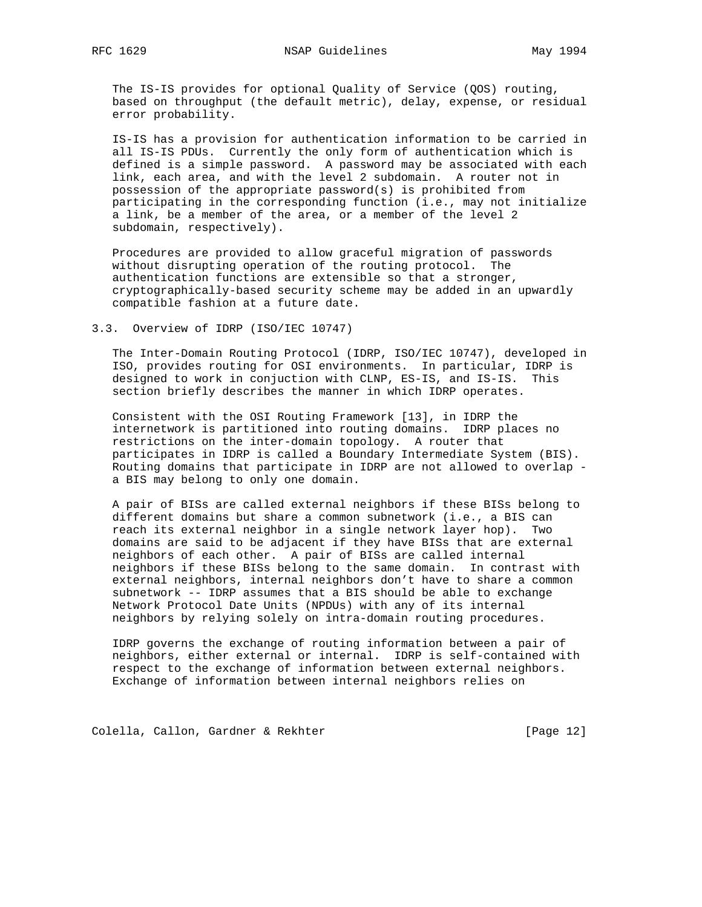The IS-IS provides for optional Quality of Service (QOS) routing, based on throughput (the default metric), delay, expense, or residual error probability.

 IS-IS has a provision for authentication information to be carried in all IS-IS PDUs. Currently the only form of authentication which is defined is a simple password. A password may be associated with each link, each area, and with the level 2 subdomain. A router not in possession of the appropriate password(s) is prohibited from participating in the corresponding function (i.e., may not initialize a link, be a member of the area, or a member of the level 2 subdomain, respectively).

 Procedures are provided to allow graceful migration of passwords without disrupting operation of the routing protocol. The authentication functions are extensible so that a stronger, cryptographically-based security scheme may be added in an upwardly compatible fashion at a future date.

#### 3.3. Overview of IDRP (ISO/IEC 10747)

 The Inter-Domain Routing Protocol (IDRP, ISO/IEC 10747), developed in ISO, provides routing for OSI environments. In particular, IDRP is designed to work in conjuction with CLNP, ES-IS, and IS-IS. This section briefly describes the manner in which IDRP operates.

 Consistent with the OSI Routing Framework [13], in IDRP the internetwork is partitioned into routing domains. IDRP places no restrictions on the inter-domain topology. A router that participates in IDRP is called a Boundary Intermediate System (BIS). Routing domains that participate in IDRP are not allowed to overlap a BIS may belong to only one domain.

 A pair of BISs are called external neighbors if these BISs belong to different domains but share a common subnetwork (i.e., a BIS can reach its external neighbor in a single network layer hop). Two domains are said to be adjacent if they have BISs that are external neighbors of each other. A pair of BISs are called internal neighbors if these BISs belong to the same domain. In contrast with external neighbors, internal neighbors don't have to share a common subnetwork -- IDRP assumes that a BIS should be able to exchange Network Protocol Date Units (NPDUs) with any of its internal neighbors by relying solely on intra-domain routing procedures.

 IDRP governs the exchange of routing information between a pair of neighbors, either external or internal. IDRP is self-contained with respect to the exchange of information between external neighbors. Exchange of information between internal neighbors relies on

Colella, Callon, Gardner & Rekhter [Page 12]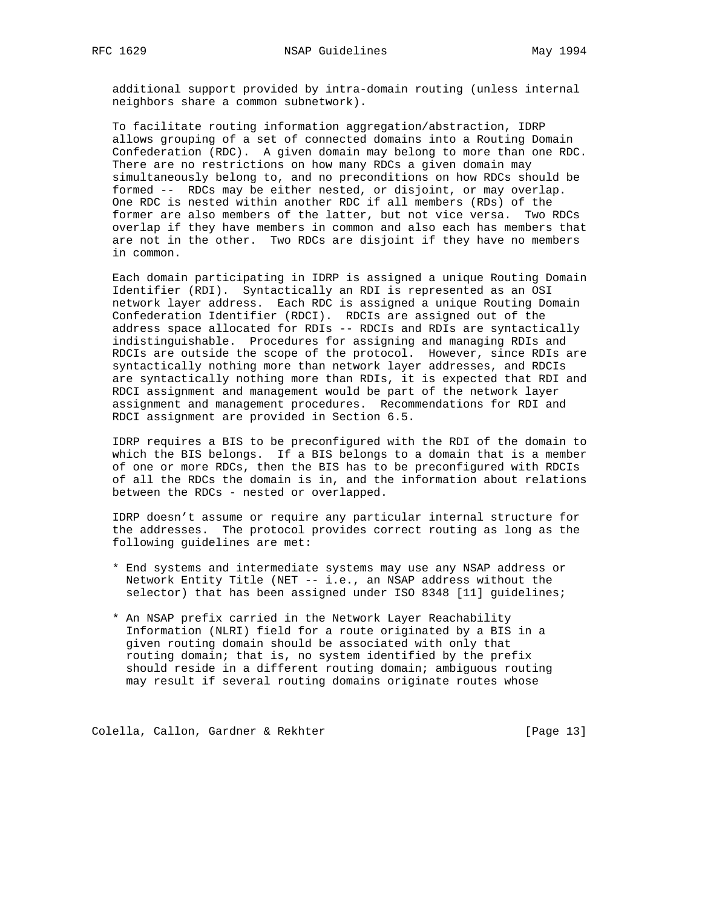additional support provided by intra-domain routing (unless internal neighbors share a common subnetwork).

 To facilitate routing information aggregation/abstraction, IDRP allows grouping of a set of connected domains into a Routing Domain Confederation (RDC). A given domain may belong to more than one RDC. There are no restrictions on how many RDCs a given domain may simultaneously belong to, and no preconditions on how RDCs should be formed -- RDCs may be either nested, or disjoint, or may overlap. One RDC is nested within another RDC if all members (RDs) of the former are also members of the latter, but not vice versa. Two RDCs overlap if they have members in common and also each has members that are not in the other. Two RDCs are disjoint if they have no members in common.

 Each domain participating in IDRP is assigned a unique Routing Domain Identifier (RDI). Syntactically an RDI is represented as an OSI network layer address. Each RDC is assigned a unique Routing Domain Confederation Identifier (RDCI). RDCIs are assigned out of the address space allocated for RDIs -- RDCIs and RDIs are syntactically indistinguishable. Procedures for assigning and managing RDIs and RDCIs are outside the scope of the protocol. However, since RDIs are syntactically nothing more than network layer addresses, and RDCIs are syntactically nothing more than RDIs, it is expected that RDI and RDCI assignment and management would be part of the network layer assignment and management procedures. Recommendations for RDI and RDCI assignment are provided in Section 6.5.

 IDRP requires a BIS to be preconfigured with the RDI of the domain to which the BIS belongs. If a BIS belongs to a domain that is a member of one or more RDCs, then the BIS has to be preconfigured with RDCIs of all the RDCs the domain is in, and the information about relations between the RDCs - nested or overlapped.

 IDRP doesn't assume or require any particular internal structure for the addresses. The protocol provides correct routing as long as the following guidelines are met:

- \* End systems and intermediate systems may use any NSAP address or Network Entity Title (NET -- i.e., an NSAP address without the selector) that has been assigned under ISO 8348 [11] guidelines;
- \* An NSAP prefix carried in the Network Layer Reachability Information (NLRI) field for a route originated by a BIS in a given routing domain should be associated with only that routing domain; that is, no system identified by the prefix should reside in a different routing domain; ambiguous routing may result if several routing domains originate routes whose

Colella, Callon, Gardner & Rekhter [Page 13]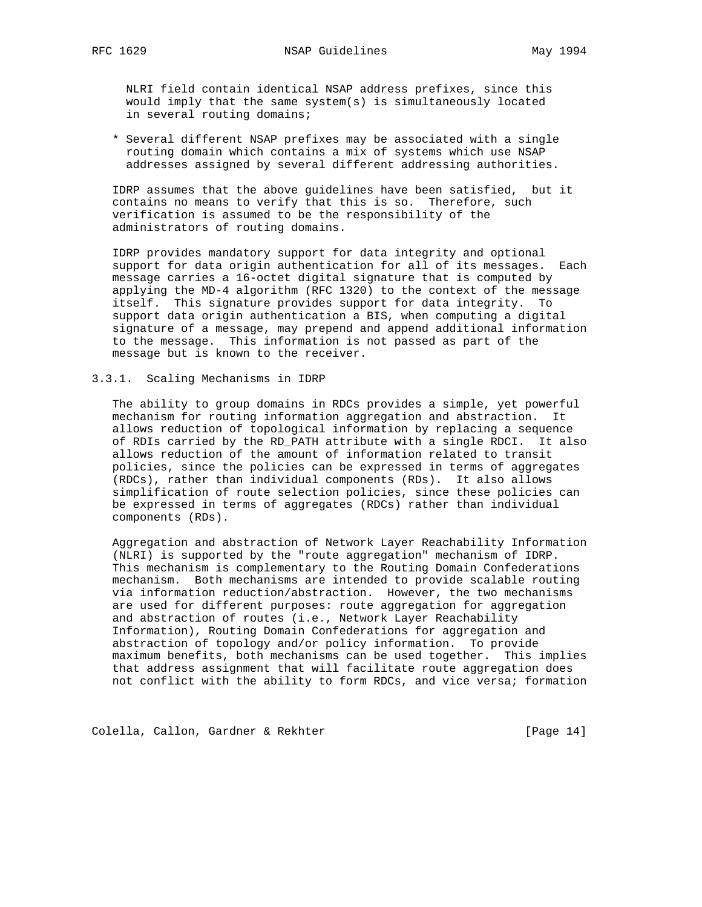NLRI field contain identical NSAP address prefixes, since this would imply that the same system(s) is simultaneously located in several routing domains;

 \* Several different NSAP prefixes may be associated with a single routing domain which contains a mix of systems which use NSAP addresses assigned by several different addressing authorities.

 IDRP assumes that the above guidelines have been satisfied, but it contains no means to verify that this is so. Therefore, such verification is assumed to be the responsibility of the administrators of routing domains.

 IDRP provides mandatory support for data integrity and optional support for data origin authentication for all of its messages. Each message carries a 16-octet digital signature that is computed by applying the MD-4 algorithm (RFC 1320) to the context of the message itself. This signature provides support for data integrity. To support data origin authentication a BIS, when computing a digital signature of a message, may prepend and append additional information to the message. This information is not passed as part of the message but is known to the receiver.

### 3.3.1. Scaling Mechanisms in IDRP

 The ability to group domains in RDCs provides a simple, yet powerful mechanism for routing information aggregation and abstraction. It allows reduction of topological information by replacing a sequence of RDIs carried by the RD\_PATH attribute with a single RDCI. It also allows reduction of the amount of information related to transit policies, since the policies can be expressed in terms of aggregates (RDCs), rather than individual components (RDs). It also allows simplification of route selection policies, since these policies can be expressed in terms of aggregates (RDCs) rather than individual components (RDs).

 Aggregation and abstraction of Network Layer Reachability Information (NLRI) is supported by the "route aggregation" mechanism of IDRP. This mechanism is complementary to the Routing Domain Confederations mechanism. Both mechanisms are intended to provide scalable routing via information reduction/abstraction. However, the two mechanisms are used for different purposes: route aggregation for aggregation and abstraction of routes (i.e., Network Layer Reachability Information), Routing Domain Confederations for aggregation and abstraction of topology and/or policy information. To provide maximum benefits, both mechanisms can be used together. This implies that address assignment that will facilitate route aggregation does not conflict with the ability to form RDCs, and vice versa; formation

Colella, Callon, Gardner & Rekhter [Page 14]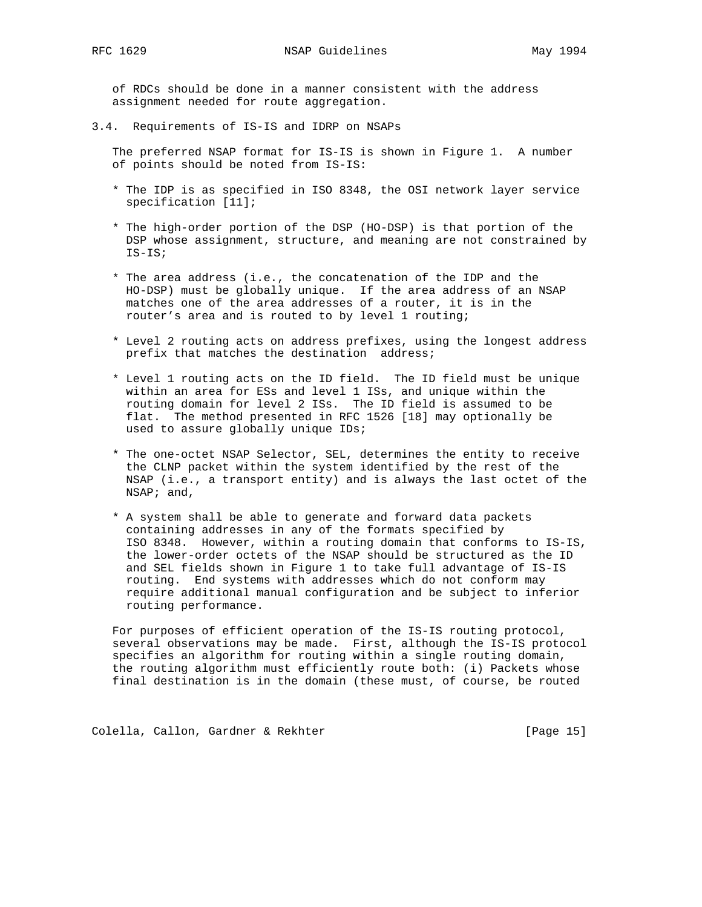of RDCs should be done in a manner consistent with the address assignment needed for route aggregation.

3.4. Requirements of IS-IS and IDRP on NSAPs

 The preferred NSAP format for IS-IS is shown in Figure 1. A number of points should be noted from IS-IS:

- \* The IDP is as specified in ISO 8348, the OSI network layer service specification [11];
- \* The high-order portion of the DSP (HO-DSP) is that portion of the DSP whose assignment, structure, and meaning are not constrained by IS-IS;
- \* The area address (i.e., the concatenation of the IDP and the HO-DSP) must be globally unique. If the area address of an NSAP matches one of the area addresses of a router, it is in the router's area and is routed to by level 1 routing;
- \* Level 2 routing acts on address prefixes, using the longest address prefix that matches the destination address;
- \* Level 1 routing acts on the ID field. The ID field must be unique within an area for ESs and level 1 ISs, and unique within the routing domain for level 2 ISs. The ID field is assumed to be flat. The method presented in RFC 1526 [18] may optionally be used to assure globally unique IDs;
- \* The one-octet NSAP Selector, SEL, determines the entity to receive the CLNP packet within the system identified by the rest of the NSAP (i.e., a transport entity) and is always the last octet of the NSAP; and,
- \* A system shall be able to generate and forward data packets containing addresses in any of the formats specified by ISO 8348. However, within a routing domain that conforms to IS-IS, the lower-order octets of the NSAP should be structured as the ID and SEL fields shown in Figure 1 to take full advantage of IS-IS routing. End systems with addresses which do not conform may require additional manual configuration and be subject to inferior routing performance.

 For purposes of efficient operation of the IS-IS routing protocol, several observations may be made. First, although the IS-IS protocol specifies an algorithm for routing within a single routing domain, the routing algorithm must efficiently route both: (i) Packets whose final destination is in the domain (these must, of course, be routed

Colella, Callon, Gardner & Rekhter [Page 15]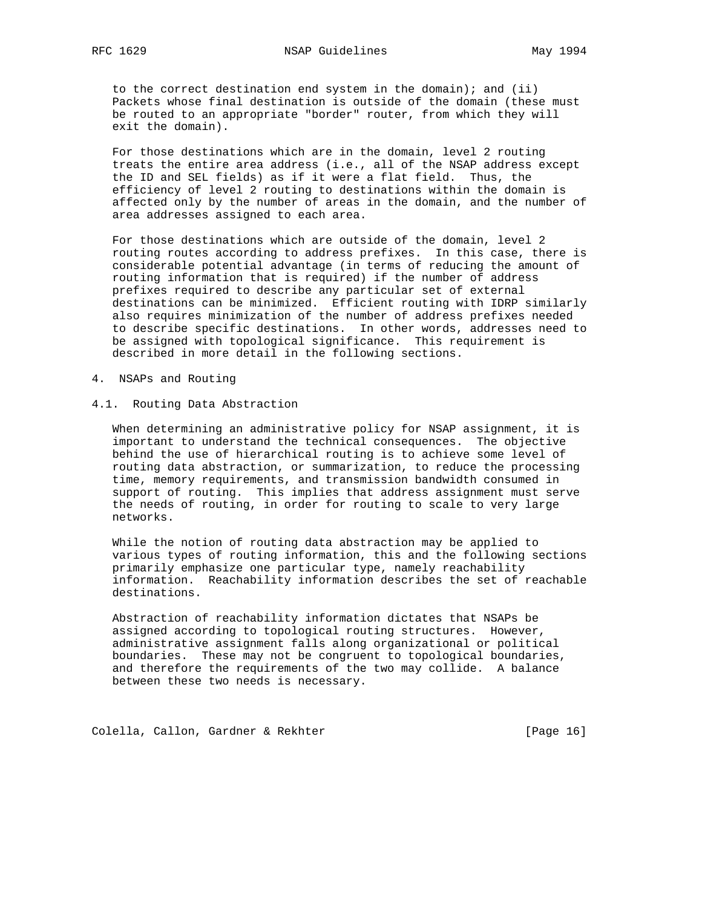to the correct destination end system in the domain); and (ii) Packets whose final destination is outside of the domain (these must be routed to an appropriate "border" router, from which they will exit the domain).

 For those destinations which are in the domain, level 2 routing treats the entire area address (i.e., all of the NSAP address except the ID and SEL fields) as if it were a flat field. Thus, the efficiency of level 2 routing to destinations within the domain is affected only by the number of areas in the domain, and the number of area addresses assigned to each area.

 For those destinations which are outside of the domain, level 2 routing routes according to address prefixes. In this case, there is considerable potential advantage (in terms of reducing the amount of routing information that is required) if the number of address prefixes required to describe any particular set of external destinations can be minimized. Efficient routing with IDRP similarly also requires minimization of the number of address prefixes needed to describe specific destinations. In other words, addresses need to be assigned with topological significance. This requirement is described in more detail in the following sections.

- 4. NSAPs and Routing
- 4.1. Routing Data Abstraction

 When determining an administrative policy for NSAP assignment, it is important to understand the technical consequences. The objective behind the use of hierarchical routing is to achieve some level of routing data abstraction, or summarization, to reduce the processing time, memory requirements, and transmission bandwidth consumed in support of routing. This implies that address assignment must serve the needs of routing, in order for routing to scale to very large networks.

 While the notion of routing data abstraction may be applied to various types of routing information, this and the following sections primarily emphasize one particular type, namely reachability information. Reachability information describes the set of reachable destinations.

 Abstraction of reachability information dictates that NSAPs be assigned according to topological routing structures. However, administrative assignment falls along organizational or political boundaries. These may not be congruent to topological boundaries, and therefore the requirements of the two may collide. A balance between these two needs is necessary.

Colella, Callon, Gardner & Rekhter [Page 16]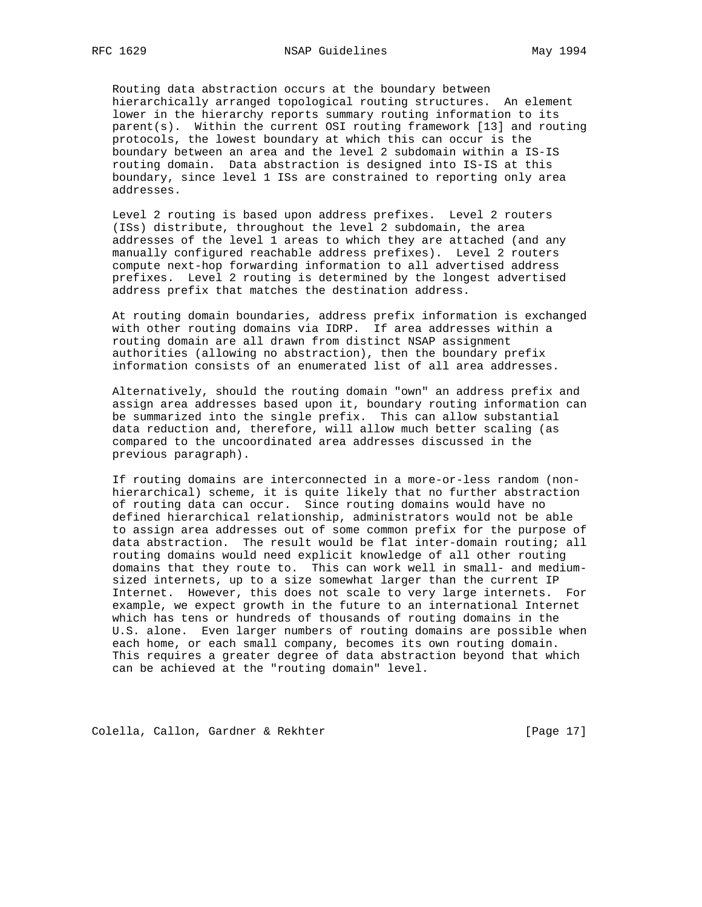Routing data abstraction occurs at the boundary between hierarchically arranged topological routing structures. An element lower in the hierarchy reports summary routing information to its parent(s). Within the current OSI routing framework [13] and routing protocols, the lowest boundary at which this can occur is the boundary between an area and the level 2 subdomain within a IS-IS routing domain. Data abstraction is designed into IS-IS at this boundary, since level 1 ISs are constrained to reporting only area addresses.

 Level 2 routing is based upon address prefixes. Level 2 routers (ISs) distribute, throughout the level 2 subdomain, the area addresses of the level 1 areas to which they are attached (and any manually configured reachable address prefixes). Level 2 routers compute next-hop forwarding information to all advertised address prefixes. Level 2 routing is determined by the longest advertised address prefix that matches the destination address.

 At routing domain boundaries, address prefix information is exchanged with other routing domains via IDRP. If area addresses within a routing domain are all drawn from distinct NSAP assignment authorities (allowing no abstraction), then the boundary prefix information consists of an enumerated list of all area addresses.

 Alternatively, should the routing domain "own" an address prefix and assign area addresses based upon it, boundary routing information can be summarized into the single prefix. This can allow substantial data reduction and, therefore, will allow much better scaling (as compared to the uncoordinated area addresses discussed in the previous paragraph).

 If routing domains are interconnected in a more-or-less random (non hierarchical) scheme, it is quite likely that no further abstraction of routing data can occur. Since routing domains would have no defined hierarchical relationship, administrators would not be able to assign area addresses out of some common prefix for the purpose of data abstraction. The result would be flat inter-domain routing; all routing domains would need explicit knowledge of all other routing domains that they route to. This can work well in small- and medium sized internets, up to a size somewhat larger than the current IP Internet. However, this does not scale to very large internets. For example, we expect growth in the future to an international Internet which has tens or hundreds of thousands of routing domains in the U.S. alone. Even larger numbers of routing domains are possible when each home, or each small company, becomes its own routing domain. This requires a greater degree of data abstraction beyond that which can be achieved at the "routing domain" level.

Colella, Callon, Gardner & Rekhter [Page 17]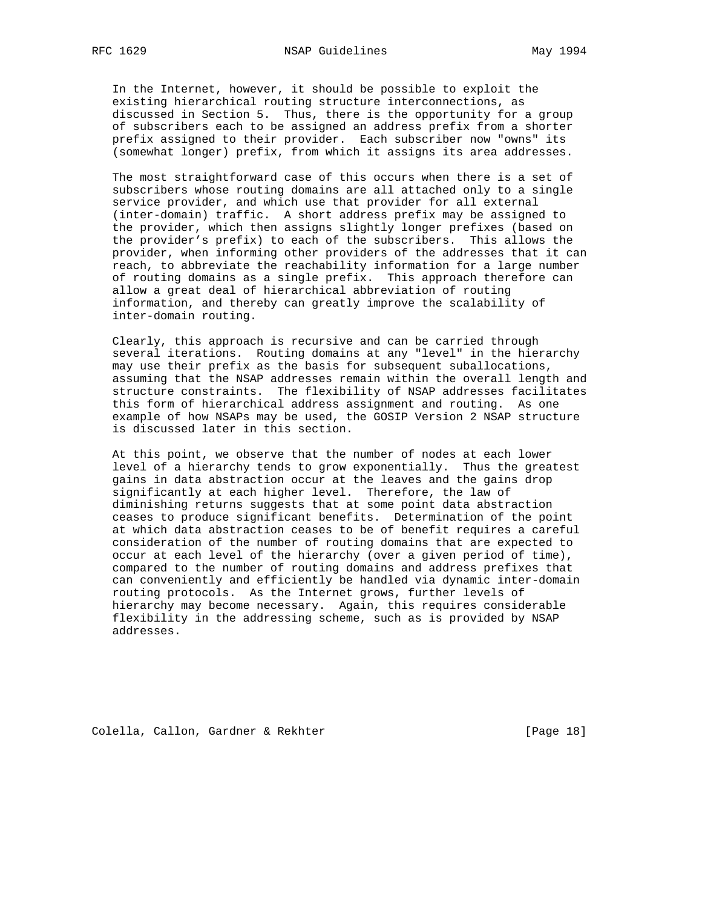In the Internet, however, it should be possible to exploit the existing hierarchical routing structure interconnections, as discussed in Section 5. Thus, there is the opportunity for a group of subscribers each to be assigned an address prefix from a shorter prefix assigned to their provider. Each subscriber now "owns" its (somewhat longer) prefix, from which it assigns its area addresses.

 The most straightforward case of this occurs when there is a set of subscribers whose routing domains are all attached only to a single service provider, and which use that provider for all external (inter-domain) traffic. A short address prefix may be assigned to the provider, which then assigns slightly longer prefixes (based on the provider's prefix) to each of the subscribers. This allows the provider, when informing other providers of the addresses that it can reach, to abbreviate the reachability information for a large number of routing domains as a single prefix. This approach therefore can allow a great deal of hierarchical abbreviation of routing information, and thereby can greatly improve the scalability of inter-domain routing.

 Clearly, this approach is recursive and can be carried through several iterations. Routing domains at any "level" in the hierarchy may use their prefix as the basis for subsequent suballocations, assuming that the NSAP addresses remain within the overall length and structure constraints. The flexibility of NSAP addresses facilitates this form of hierarchical address assignment and routing. As one example of how NSAPs may be used, the GOSIP Version 2 NSAP structure is discussed later in this section.

 At this point, we observe that the number of nodes at each lower level of a hierarchy tends to grow exponentially. Thus the greatest gains in data abstraction occur at the leaves and the gains drop significantly at each higher level. Therefore, the law of diminishing returns suggests that at some point data abstraction ceases to produce significant benefits. Determination of the point at which data abstraction ceases to be of benefit requires a careful consideration of the number of routing domains that are expected to occur at each level of the hierarchy (over a given period of time), compared to the number of routing domains and address prefixes that can conveniently and efficiently be handled via dynamic inter-domain routing protocols. As the Internet grows, further levels of hierarchy may become necessary. Again, this requires considerable flexibility in the addressing scheme, such as is provided by NSAP addresses.

Colella, Callon, Gardner & Rekhter [Page 18]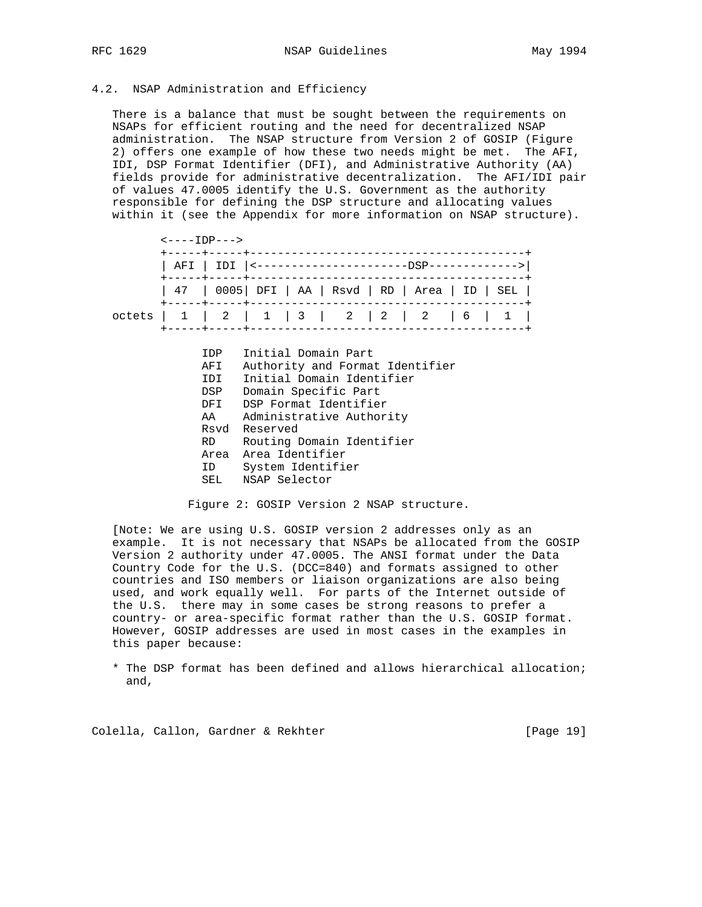#### 4.2. NSAP Administration and Efficiency

 There is a balance that must be sought between the requirements on NSAPs for efficient routing and the need for decentralized NSAP administration. The NSAP structure from Version 2 of GOSIP (Figure 2) offers one example of how these two needs might be met. The AFI, IDI, DSP Format Identifier (DFI), and Administrative Authority (AA) fields provide for administrative decentralization. The AFI/IDI pair of values 47.0005 identify the U.S. Government as the authority responsible for defining the DSP structure and allocating values within it (see the Appendix for more information on NSAP structure).

|        | <----TDP--->                                                               |                                                                                                                                                                                                                                                                    |  |  |  |  |  |  |
|--------|----------------------------------------------------------------------------|--------------------------------------------------------------------------------------------------------------------------------------------------------------------------------------------------------------------------------------------------------------------|--|--|--|--|--|--|
|        |                                                                            |                                                                                                                                                                                                                                                                    |  |  |  |  |  |  |
|        | 47   0005   DFI   AA   Rsvd   RD   Area   ID   SEL                         |                                                                                                                                                                                                                                                                    |  |  |  |  |  |  |
| octets | 1 1 2 1 1 3 2 2 2 2 6 1 1<br>----+-----+-------                            |                                                                                                                                                                                                                                                                    |  |  |  |  |  |  |
|        | IDP<br>AFI<br>IDI<br>DSP<br>DFT.<br>AA<br>Rsvd<br>RD.<br>Area<br>ID<br>SEL | Initial Domain Part<br>Authority and Format Identifier<br>Initial Domain Identifier<br>Domain Specific Part<br>DSP Format Identifier<br>Administrative Authority<br>Reserved<br>Routing Domain Identifier<br>Area Identifier<br>System Identifier<br>NSAP Selector |  |  |  |  |  |  |

Figure 2: GOSIP Version 2 NSAP structure.

 [Note: We are using U.S. GOSIP version 2 addresses only as an example. It is not necessary that NSAPs be allocated from the GOSIP Version 2 authority under 47.0005. The ANSI format under the Data Country Code for the U.S. (DCC=840) and formats assigned to other countries and ISO members or liaison organizations are also being used, and work equally well. For parts of the Internet outside of the U.S. there may in some cases be strong reasons to prefer a country- or area-specific format rather than the U.S. GOSIP format. However, GOSIP addresses are used in most cases in the examples in this paper because:

 \* The DSP format has been defined and allows hierarchical allocation; and,

Colella, Callon, Gardner & Rekhter [Page 19]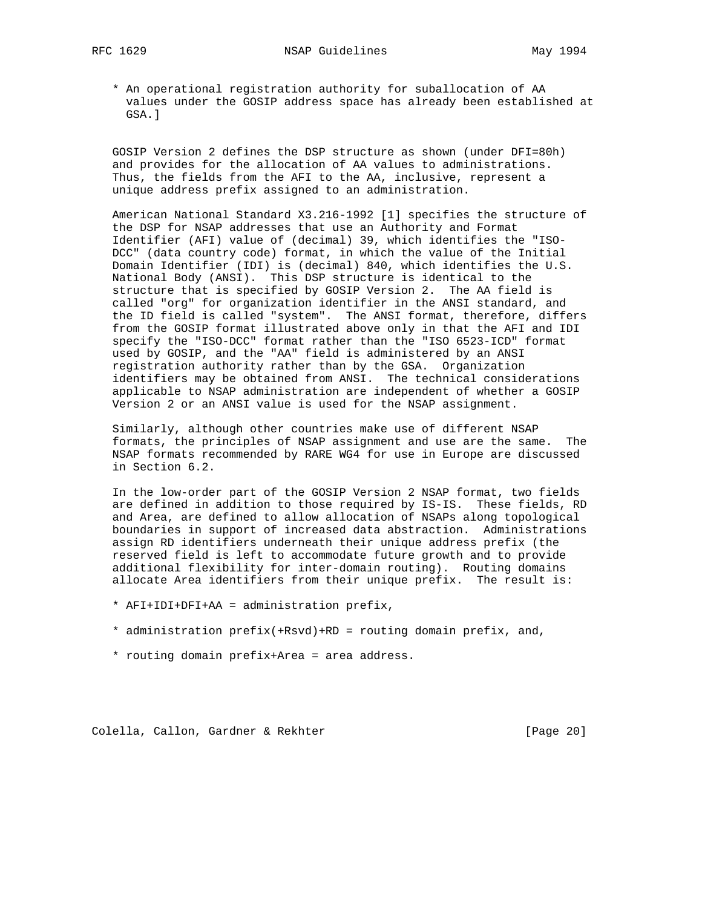\* An operational registration authority for suballocation of AA values under the GOSIP address space has already been established at GSA.]

 GOSIP Version 2 defines the DSP structure as shown (under DFI=80h) and provides for the allocation of AA values to administrations. Thus, the fields from the AFI to the AA, inclusive, represent a unique address prefix assigned to an administration.

 American National Standard X3.216-1992 [1] specifies the structure of the DSP for NSAP addresses that use an Authority and Format Identifier (AFI) value of (decimal) 39, which identifies the "ISO- DCC" (data country code) format, in which the value of the Initial Domain Identifier (IDI) is (decimal) 840, which identifies the U.S. National Body (ANSI). This DSP structure is identical to the structure that is specified by GOSIP Version 2. The AA field is called "org" for organization identifier in the ANSI standard, and the ID field is called "system". The ANSI format, therefore, differs from the GOSIP format illustrated above only in that the AFI and IDI specify the "ISO-DCC" format rather than the "ISO 6523-ICD" format used by GOSIP, and the "AA" field is administered by an ANSI registration authority rather than by the GSA. Organization identifiers may be obtained from ANSI. The technical considerations applicable to NSAP administration are independent of whether a GOSIP Version 2 or an ANSI value is used for the NSAP assignment.

 Similarly, although other countries make use of different NSAP formats, the principles of NSAP assignment and use are the same. The NSAP formats recommended by RARE WG4 for use in Europe are discussed in Section 6.2.

 In the low-order part of the GOSIP Version 2 NSAP format, two fields are defined in addition to those required by IS-IS. These fields, RD and Area, are defined to allow allocation of NSAPs along topological boundaries in support of increased data abstraction. Administrations assign RD identifiers underneath their unique address prefix (the reserved field is left to accommodate future growth and to provide additional flexibility for inter-domain routing). Routing domains allocate Area identifiers from their unique prefix. The result is:

- \* AFI+IDI+DFI+AA = administration prefix,
- \* administration prefix(+Rsvd)+RD = routing domain prefix, and,
- \* routing domain prefix+Area = area address.

Colella, Callon, Gardner & Rekhter [Page 20]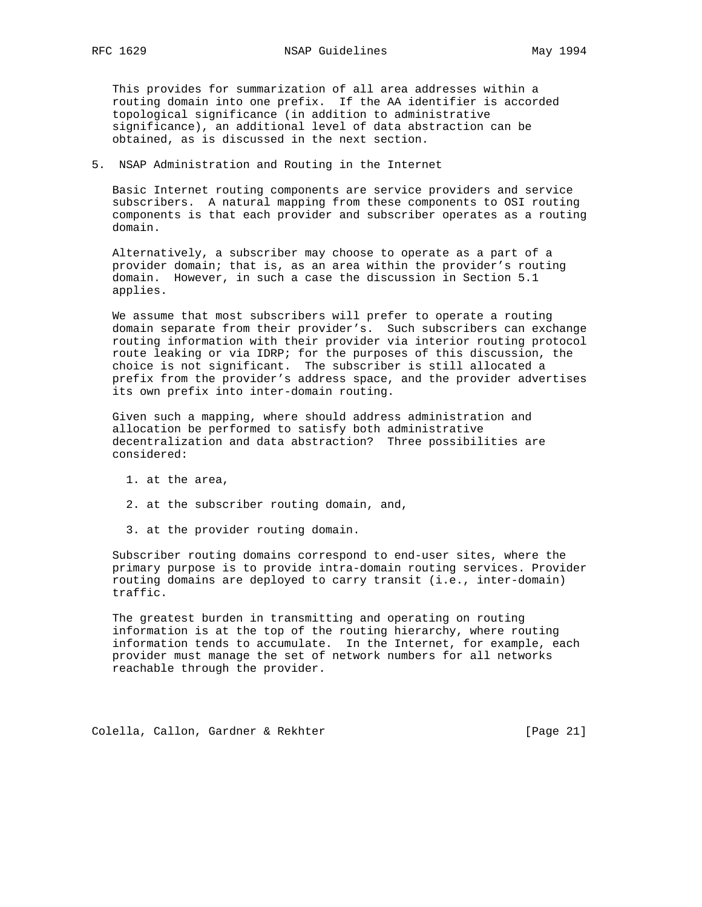This provides for summarization of all area addresses within a routing domain into one prefix. If the AA identifier is accorded topological significance (in addition to administrative significance), an additional level of data abstraction can be obtained, as is discussed in the next section.

5. NSAP Administration and Routing in the Internet

 Basic Internet routing components are service providers and service subscribers. A natural mapping from these components to OSI routing components is that each provider and subscriber operates as a routing domain.

 Alternatively, a subscriber may choose to operate as a part of a provider domain; that is, as an area within the provider's routing domain. However, in such a case the discussion in Section 5.1 applies.

 We assume that most subscribers will prefer to operate a routing domain separate from their provider's. Such subscribers can exchange routing information with their provider via interior routing protocol route leaking or via IDRP; for the purposes of this discussion, the choice is not significant. The subscriber is still allocated a prefix from the provider's address space, and the provider advertises its own prefix into inter-domain routing.

 Given such a mapping, where should address administration and allocation be performed to satisfy both administrative decentralization and data abstraction? Three possibilities are considered:

- 1. at the area,
- 2. at the subscriber routing domain, and,
- 3. at the provider routing domain.

 Subscriber routing domains correspond to end-user sites, where the primary purpose is to provide intra-domain routing services. Provider routing domains are deployed to carry transit (i.e., inter-domain) traffic.

 The greatest burden in transmitting and operating on routing information is at the top of the routing hierarchy, where routing information tends to accumulate. In the Internet, for example, each provider must manage the set of network numbers for all networks reachable through the provider.

Colella, Callon, Gardner & Rekhter [Page 21]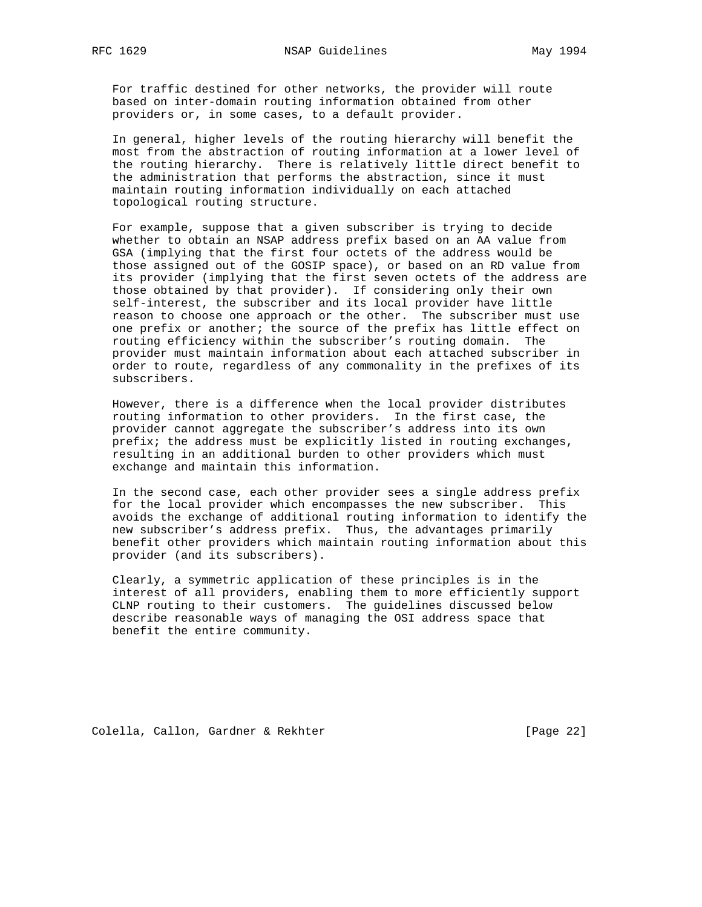For traffic destined for other networks, the provider will route based on inter-domain routing information obtained from other providers or, in some cases, to a default provider.

 In general, higher levels of the routing hierarchy will benefit the most from the abstraction of routing information at a lower level of the routing hierarchy. There is relatively little direct benefit to the administration that performs the abstraction, since it must maintain routing information individually on each attached topological routing structure.

 For example, suppose that a given subscriber is trying to decide whether to obtain an NSAP address prefix based on an AA value from GSA (implying that the first four octets of the address would be those assigned out of the GOSIP space), or based on an RD value from its provider (implying that the first seven octets of the address are those obtained by that provider). If considering only their own self-interest, the subscriber and its local provider have little reason to choose one approach or the other. The subscriber must use one prefix or another; the source of the prefix has little effect on routing efficiency within the subscriber's routing domain. The provider must maintain information about each attached subscriber in order to route, regardless of any commonality in the prefixes of its subscribers.

 However, there is a difference when the local provider distributes routing information to other providers. In the first case, the provider cannot aggregate the subscriber's address into its own prefix; the address must be explicitly listed in routing exchanges, resulting in an additional burden to other providers which must exchange and maintain this information.

 In the second case, each other provider sees a single address prefix for the local provider which encompasses the new subscriber. This avoids the exchange of additional routing information to identify the new subscriber's address prefix. Thus, the advantages primarily benefit other providers which maintain routing information about this provider (and its subscribers).

 Clearly, a symmetric application of these principles is in the interest of all providers, enabling them to more efficiently support CLNP routing to their customers. The guidelines discussed below describe reasonable ways of managing the OSI address space that benefit the entire community.

Colella, Callon, Gardner & Rekhter [Page 22]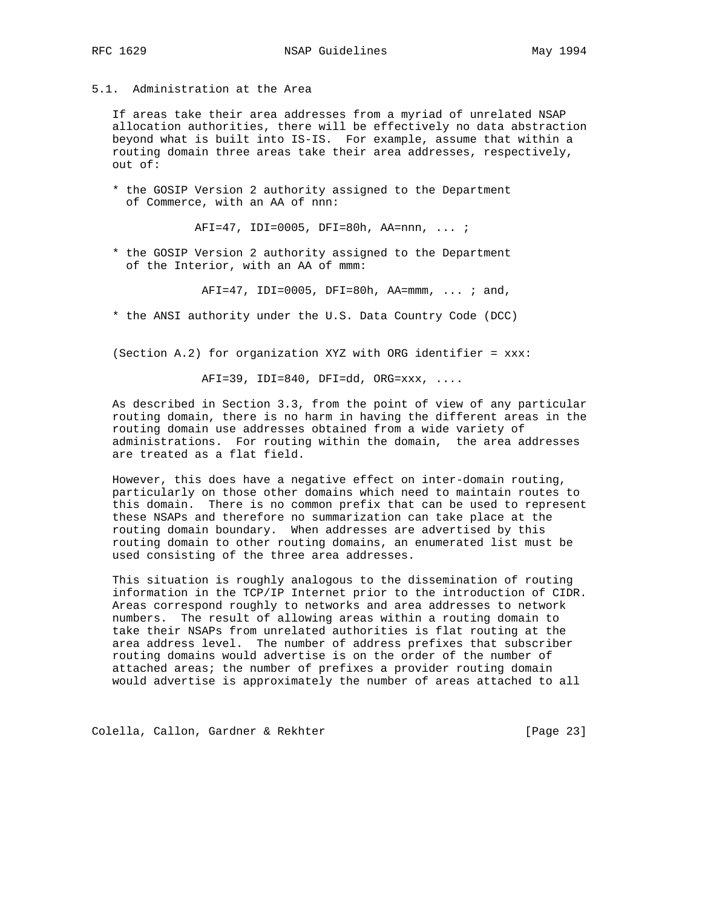# 5.1. Administration at the Area

 If areas take their area addresses from a myriad of unrelated NSAP allocation authorities, there will be effectively no data abstraction beyond what is built into IS-IS. For example, assume that within a routing domain three areas take their area addresses, respectively, out of:

 \* the GOSIP Version 2 authority assigned to the Department of Commerce, with an AA of nnn:

AFI=47, IDI=0005, DFI=80h, AA=nnn, ... ;

 \* the GOSIP Version 2 authority assigned to the Department of the Interior, with an AA of mmm:

AFI=47, IDI=0005, DFI=80h, AA=mmm, ... ; and,

\* the ANSI authority under the U.S. Data Country Code (DCC)

(Section A.2) for organization XYZ with ORG identifier = xxx:

AFI=39, IDI=840, DFI=dd, ORG=xxx, ....

 As described in Section 3.3, from the point of view of any particular routing domain, there is no harm in having the different areas in the routing domain use addresses obtained from a wide variety of administrations. For routing within the domain, the area addresses are treated as a flat field.

 However, this does have a negative effect on inter-domain routing, particularly on those other domains which need to maintain routes to this domain. There is no common prefix that can be used to represent these NSAPs and therefore no summarization can take place at the routing domain boundary. When addresses are advertised by this routing domain to other routing domains, an enumerated list must be used consisting of the three area addresses.

 This situation is roughly analogous to the dissemination of routing information in the TCP/IP Internet prior to the introduction of CIDR. Areas correspond roughly to networks and area addresses to network numbers. The result of allowing areas within a routing domain to take their NSAPs from unrelated authorities is flat routing at the area address level. The number of address prefixes that subscriber routing domains would advertise is on the order of the number of attached areas; the number of prefixes a provider routing domain would advertise is approximately the number of areas attached to all

Colella, Callon, Gardner & Rekhter [Page 23]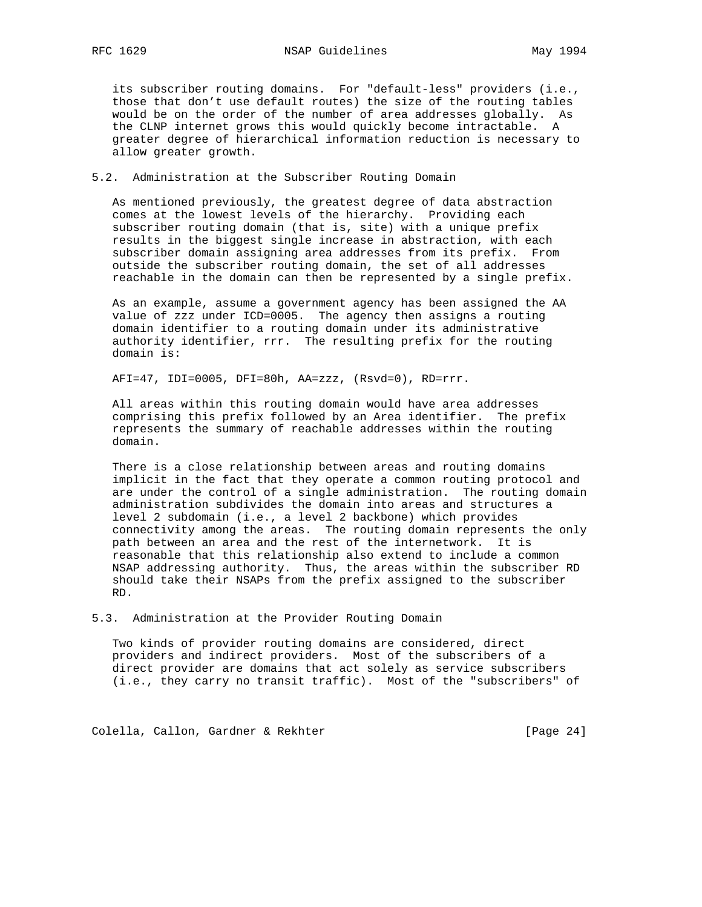its subscriber routing domains. For "default-less" providers (i.e., those that don't use default routes) the size of the routing tables would be on the order of the number of area addresses globally. As the CLNP internet grows this would quickly become intractable. A greater degree of hierarchical information reduction is necessary to allow greater growth.

5.2. Administration at the Subscriber Routing Domain

 As mentioned previously, the greatest degree of data abstraction comes at the lowest levels of the hierarchy. Providing each subscriber routing domain (that is, site) with a unique prefix results in the biggest single increase in abstraction, with each subscriber domain assigning area addresses from its prefix. From outside the subscriber routing domain, the set of all addresses reachable in the domain can then be represented by a single prefix.

 As an example, assume a government agency has been assigned the AA value of zzz under ICD=0005. The agency then assigns a routing domain identifier to a routing domain under its administrative authority identifier, rrr. The resulting prefix for the routing domain is:

AFI=47, IDI=0005, DFI=80h, AA=zzz, (Rsvd=0), RD=rrr.

 All areas within this routing domain would have area addresses comprising this prefix followed by an Area identifier. The prefix represents the summary of reachable addresses within the routing domain.

 There is a close relationship between areas and routing domains implicit in the fact that they operate a common routing protocol and are under the control of a single administration. The routing domain administration subdivides the domain into areas and structures a level 2 subdomain (i.e., a level 2 backbone) which provides connectivity among the areas. The routing domain represents the only path between an area and the rest of the internetwork. It is reasonable that this relationship also extend to include a common NSAP addressing authority. Thus, the areas within the subscriber RD should take their NSAPs from the prefix assigned to the subscriber RD.

5.3. Administration at the Provider Routing Domain

 Two kinds of provider routing domains are considered, direct providers and indirect providers. Most of the subscribers of a direct provider are domains that act solely as service subscribers (i.e., they carry no transit traffic). Most of the "subscribers" of

Colella, Callon, Gardner & Rekhter [Page 24]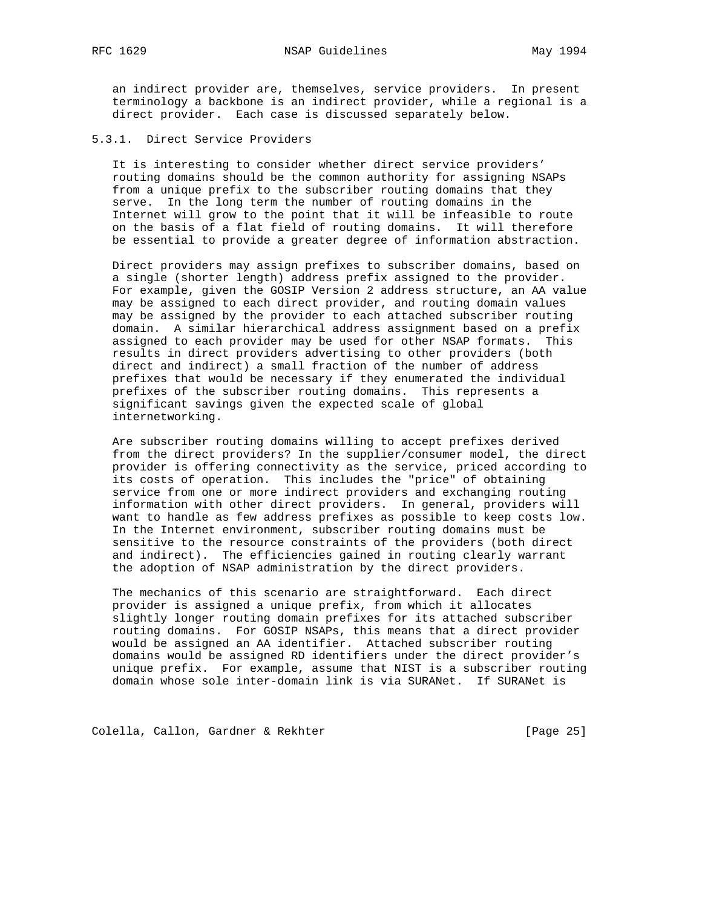an indirect provider are, themselves, service providers. In present terminology a backbone is an indirect provider, while a regional is a direct provider. Each case is discussed separately below.

# 5.3.1. Direct Service Providers

 It is interesting to consider whether direct service providers' routing domains should be the common authority for assigning NSAPs from a unique prefix to the subscriber routing domains that they serve. In the long term the number of routing domains in the Internet will grow to the point that it will be infeasible to route on the basis of a flat field of routing domains. It will therefore be essential to provide a greater degree of information abstraction.

 Direct providers may assign prefixes to subscriber domains, based on a single (shorter length) address prefix assigned to the provider. For example, given the GOSIP Version 2 address structure, an AA value may be assigned to each direct provider, and routing domain values may be assigned by the provider to each attached subscriber routing domain. A similar hierarchical address assignment based on a prefix assigned to each provider may be used for other NSAP formats. This results in direct providers advertising to other providers (both direct and indirect) a small fraction of the number of address prefixes that would be necessary if they enumerated the individual prefixes of the subscriber routing domains. This represents a significant savings given the expected scale of global internetworking.

 Are subscriber routing domains willing to accept prefixes derived from the direct providers? In the supplier/consumer model, the direct provider is offering connectivity as the service, priced according to its costs of operation. This includes the "price" of obtaining service from one or more indirect providers and exchanging routing information with other direct providers. In general, providers will want to handle as few address prefixes as possible to keep costs low. In the Internet environment, subscriber routing domains must be sensitive to the resource constraints of the providers (both direct and indirect). The efficiencies gained in routing clearly warrant the adoption of NSAP administration by the direct providers.

 The mechanics of this scenario are straightforward. Each direct provider is assigned a unique prefix, from which it allocates slightly longer routing domain prefixes for its attached subscriber routing domains. For GOSIP NSAPs, this means that a direct provider would be assigned an AA identifier. Attached subscriber routing domains would be assigned RD identifiers under the direct provider's unique prefix. For example, assume that NIST is a subscriber routing domain whose sole inter-domain link is via SURANet. If SURANet is

Colella, Callon, Gardner & Rekhter [Page 25]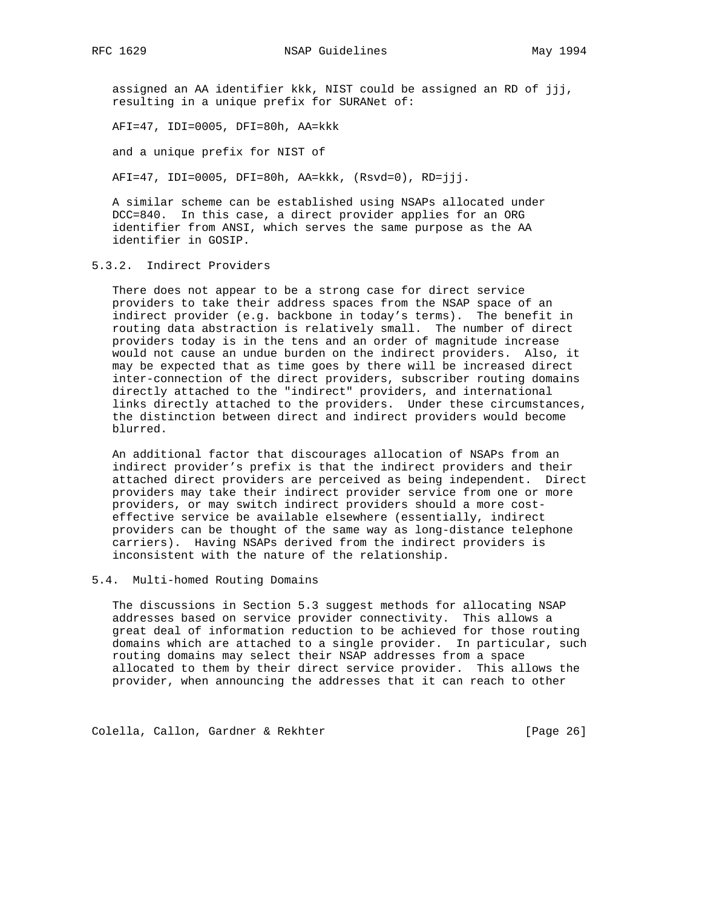assigned an AA identifier kkk, NIST could be assigned an RD of jjj, resulting in a unique prefix for SURANet of:

AFI=47, IDI=0005, DFI=80h, AA=kkk

and a unique prefix for NIST of

AFI=47, IDI=0005, DFI=80h, AA=kkk, (Rsvd=0), RD=jjj.

 A similar scheme can be established using NSAPs allocated under DCC=840. In this case, a direct provider applies for an ORG identifier from ANSI, which serves the same purpose as the AA identifier in GOSIP.

# 5.3.2. Indirect Providers

 There does not appear to be a strong case for direct service providers to take their address spaces from the NSAP space of an indirect provider (e.g. backbone in today's terms). The benefit in routing data abstraction is relatively small. The number of direct providers today is in the tens and an order of magnitude increase would not cause an undue burden on the indirect providers. Also, it may be expected that as time goes by there will be increased direct inter-connection of the direct providers, subscriber routing domains directly attached to the "indirect" providers, and international links directly attached to the providers. Under these circumstances, the distinction between direct and indirect providers would become blurred.

 An additional factor that discourages allocation of NSAPs from an indirect provider's prefix is that the indirect providers and their attached direct providers are perceived as being independent. Direct providers may take their indirect provider service from one or more providers, or may switch indirect providers should a more cost effective service be available elsewhere (essentially, indirect providers can be thought of the same way as long-distance telephone carriers). Having NSAPs derived from the indirect providers is inconsistent with the nature of the relationship.

### 5.4. Multi-homed Routing Domains

 The discussions in Section 5.3 suggest methods for allocating NSAP addresses based on service provider connectivity. This allows a great deal of information reduction to be achieved for those routing domains which are attached to a single provider. In particular, such routing domains may select their NSAP addresses from a space allocated to them by their direct service provider. This allows the provider, when announcing the addresses that it can reach to other

Colella, Callon, Gardner & Rekhter [Page 26]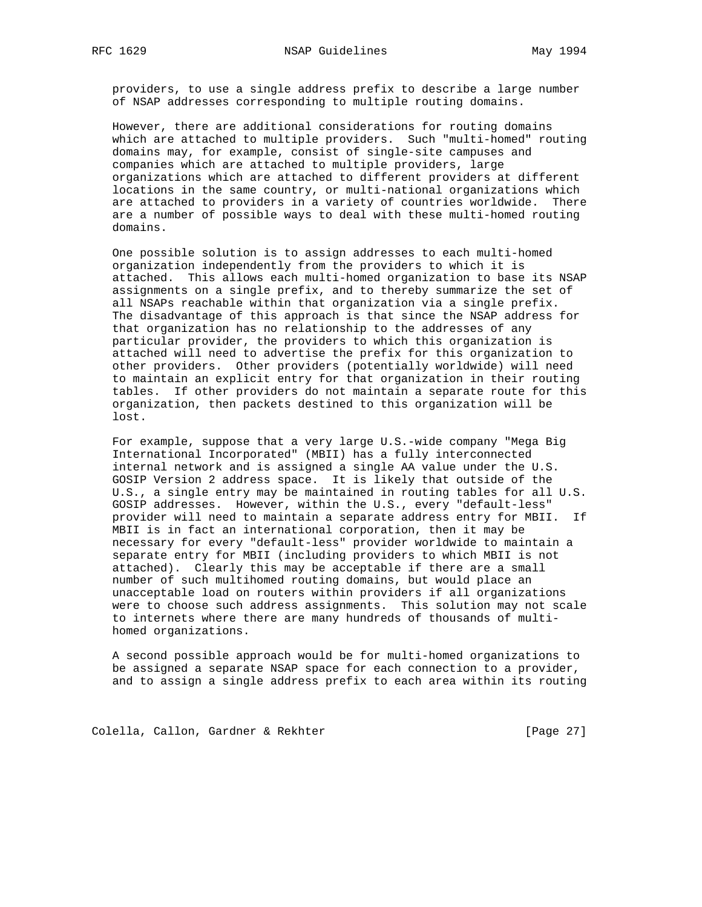providers, to use a single address prefix to describe a large number of NSAP addresses corresponding to multiple routing domains.

 However, there are additional considerations for routing domains which are attached to multiple providers. Such "multi-homed" routing domains may, for example, consist of single-site campuses and companies which are attached to multiple providers, large organizations which are attached to different providers at different locations in the same country, or multi-national organizations which are attached to providers in a variety of countries worldwide. There are a number of possible ways to deal with these multi-homed routing domains.

 One possible solution is to assign addresses to each multi-homed organization independently from the providers to which it is attached. This allows each multi-homed organization to base its NSAP assignments on a single prefix, and to thereby summarize the set of all NSAPs reachable within that organization via a single prefix. The disadvantage of this approach is that since the NSAP address for that organization has no relationship to the addresses of any particular provider, the providers to which this organization is attached will need to advertise the prefix for this organization to other providers. Other providers (potentially worldwide) will need to maintain an explicit entry for that organization in their routing tables. If other providers do not maintain a separate route for this organization, then packets destined to this organization will be lost.

 For example, suppose that a very large U.S.-wide company "Mega Big International Incorporated" (MBII) has a fully interconnected internal network and is assigned a single AA value under the U.S. GOSIP Version 2 address space. It is likely that outside of the U.S., a single entry may be maintained in routing tables for all U.S. GOSIP addresses. However, within the U.S., every "default-less" provider will need to maintain a separate address entry for MBII. If MBII is in fact an international corporation, then it may be necessary for every "default-less" provider worldwide to maintain a separate entry for MBII (including providers to which MBII is not attached). Clearly this may be acceptable if there are a small number of such multihomed routing domains, but would place an unacceptable load on routers within providers if all organizations were to choose such address assignments. This solution may not scale to internets where there are many hundreds of thousands of multi homed organizations.

 A second possible approach would be for multi-homed organizations to be assigned a separate NSAP space for each connection to a provider, and to assign a single address prefix to each area within its routing

Colella, Callon, Gardner & Rekhter [Page 27]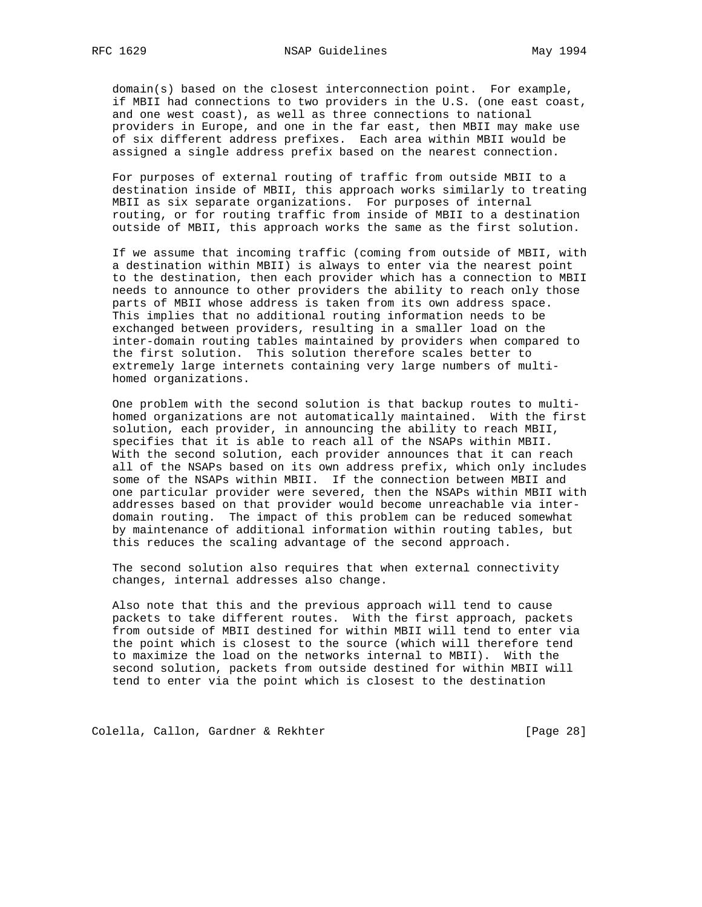domain(s) based on the closest interconnection point. For example, if MBII had connections to two providers in the U.S. (one east coast, and one west coast), as well as three connections to national providers in Europe, and one in the far east, then MBII may make use of six different address prefixes. Each area within MBII would be assigned a single address prefix based on the nearest connection.

 For purposes of external routing of traffic from outside MBII to a destination inside of MBII, this approach works similarly to treating MBII as six separate organizations. For purposes of internal routing, or for routing traffic from inside of MBII to a destination outside of MBII, this approach works the same as the first solution.

 If we assume that incoming traffic (coming from outside of MBII, with a destination within MBII) is always to enter via the nearest point to the destination, then each provider which has a connection to MBII needs to announce to other providers the ability to reach only those parts of MBII whose address is taken from its own address space. This implies that no additional routing information needs to be exchanged between providers, resulting in a smaller load on the inter-domain routing tables maintained by providers when compared to the first solution. This solution therefore scales better to extremely large internets containing very large numbers of multi homed organizations.

 One problem with the second solution is that backup routes to multi homed organizations are not automatically maintained. With the first solution, each provider, in announcing the ability to reach MBII, specifies that it is able to reach all of the NSAPs within MBII. With the second solution, each provider announces that it can reach all of the NSAPs based on its own address prefix, which only includes some of the NSAPs within MBII. If the connection between MBII and one particular provider were severed, then the NSAPs within MBII with addresses based on that provider would become unreachable via inter domain routing. The impact of this problem can be reduced somewhat by maintenance of additional information within routing tables, but this reduces the scaling advantage of the second approach.

 The second solution also requires that when external connectivity changes, internal addresses also change.

 Also note that this and the previous approach will tend to cause packets to take different routes. With the first approach, packets from outside of MBII destined for within MBII will tend to enter via the point which is closest to the source (which will therefore tend to maximize the load on the networks internal to MBII). With the second solution, packets from outside destined for within MBII will tend to enter via the point which is closest to the destination

Colella, Callon, Gardner & Rekhter [Page 28]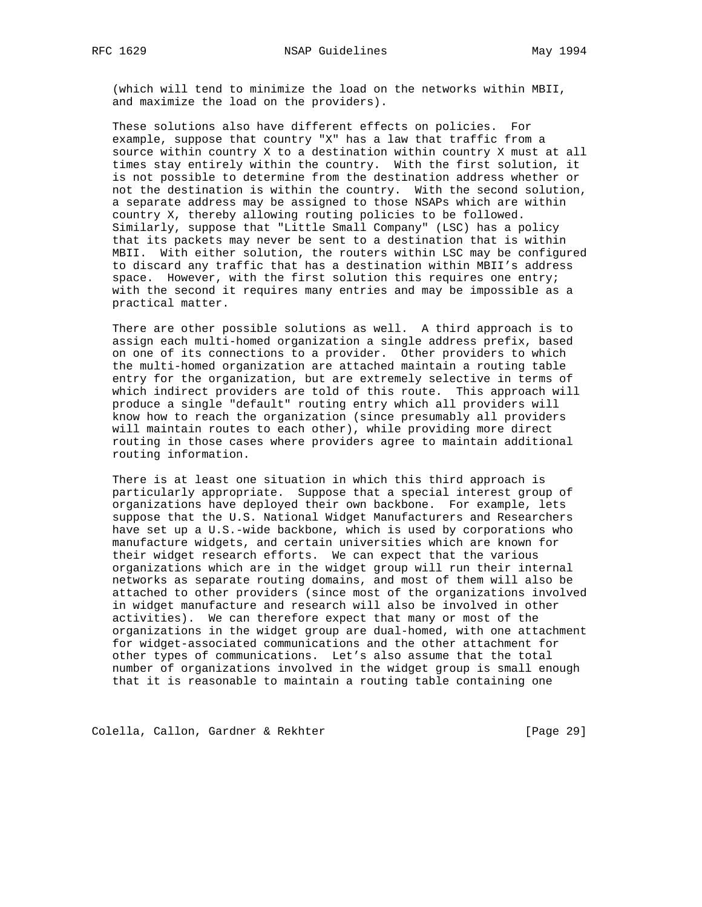(which will tend to minimize the load on the networks within MBII, and maximize the load on the providers).

 These solutions also have different effects on policies. For example, suppose that country "X" has a law that traffic from a source within country X to a destination within country X must at all times stay entirely within the country. With the first solution, it is not possible to determine from the destination address whether or not the destination is within the country. With the second solution, a separate address may be assigned to those NSAPs which are within country X, thereby allowing routing policies to be followed. Similarly, suppose that "Little Small Company" (LSC) has a policy that its packets may never be sent to a destination that is within MBII. With either solution, the routers within LSC may be configured to discard any traffic that has a destination within MBII's address space. However, with the first solution this requires one entry; with the second it requires many entries and may be impossible as a practical matter.

 There are other possible solutions as well. A third approach is to assign each multi-homed organization a single address prefix, based on one of its connections to a provider. Other providers to which the multi-homed organization are attached maintain a routing table entry for the organization, but are extremely selective in terms of which indirect providers are told of this route. This approach will produce a single "default" routing entry which all providers will know how to reach the organization (since presumably all providers will maintain routes to each other), while providing more direct routing in those cases where providers agree to maintain additional routing information.

 There is at least one situation in which this third approach is particularly appropriate. Suppose that a special interest group of organizations have deployed their own backbone. For example, lets suppose that the U.S. National Widget Manufacturers and Researchers have set up a U.S.-wide backbone, which is used by corporations who manufacture widgets, and certain universities which are known for their widget research efforts. We can expect that the various organizations which are in the widget group will run their internal networks as separate routing domains, and most of them will also be attached to other providers (since most of the organizations involved in widget manufacture and research will also be involved in other activities). We can therefore expect that many or most of the organizations in the widget group are dual-homed, with one attachment for widget-associated communications and the other attachment for other types of communications. Let's also assume that the total number of organizations involved in the widget group is small enough that it is reasonable to maintain a routing table containing one

Colella, Callon, Gardner & Rekhter [Page 29]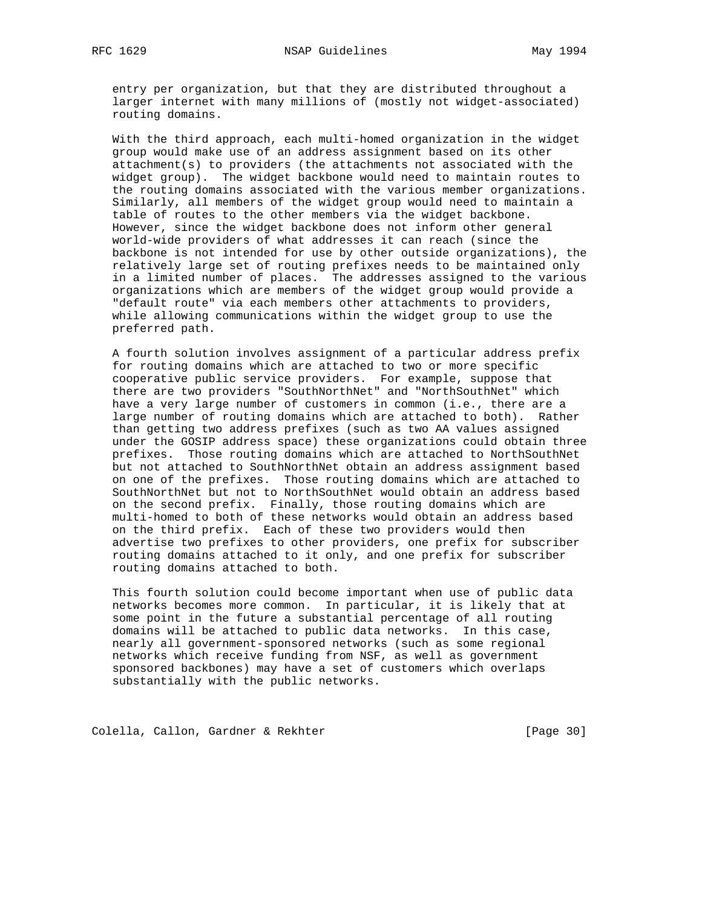entry per organization, but that they are distributed throughout a larger internet with many millions of (mostly not widget-associated) routing domains.

 With the third approach, each multi-homed organization in the widget group would make use of an address assignment based on its other attachment(s) to providers (the attachments not associated with the widget group). The widget backbone would need to maintain routes to the routing domains associated with the various member organizations. Similarly, all members of the widget group would need to maintain a table of routes to the other members via the widget backbone. However, since the widget backbone does not inform other general world-wide providers of what addresses it can reach (since the backbone is not intended for use by other outside organizations), the relatively large set of routing prefixes needs to be maintained only in a limited number of places. The addresses assigned to the various organizations which are members of the widget group would provide a "default route" via each members other attachments to providers, while allowing communications within the widget group to use the preferred path.

 A fourth solution involves assignment of a particular address prefix for routing domains which are attached to two or more specific cooperative public service providers. For example, suppose that there are two providers "SouthNorthNet" and "NorthSouthNet" which have a very large number of customers in common (i.e., there are a large number of routing domains which are attached to both). Rather than getting two address prefixes (such as two AA values assigned under the GOSIP address space) these organizations could obtain three prefixes. Those routing domains which are attached to NorthSouthNet but not attached to SouthNorthNet obtain an address assignment based on one of the prefixes. Those routing domains which are attached to SouthNorthNet but not to NorthSouthNet would obtain an address based on the second prefix. Finally, those routing domains which are multi-homed to both of these networks would obtain an address based on the third prefix. Each of these two providers would then advertise two prefixes to other providers, one prefix for subscriber routing domains attached to it only, and one prefix for subscriber routing domains attached to both.

 This fourth solution could become important when use of public data networks becomes more common. In particular, it is likely that at some point in the future a substantial percentage of all routing domains will be attached to public data networks. In this case, nearly all government-sponsored networks (such as some regional networks which receive funding from NSF, as well as government sponsored backbones) may have a set of customers which overlaps substantially with the public networks.

Colella, Callon, Gardner & Rekhter [Page 30]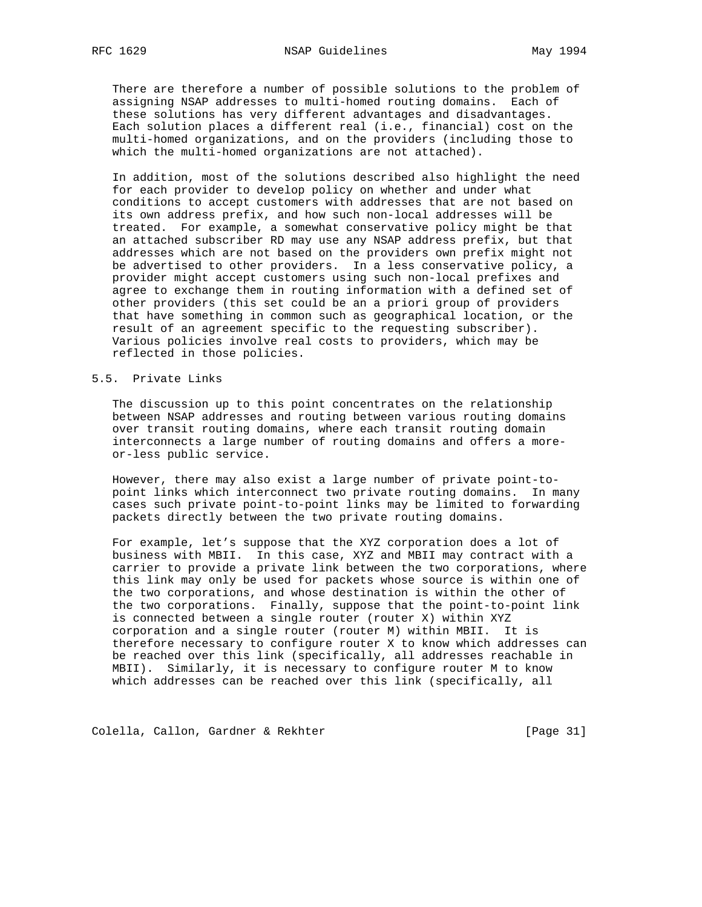There are therefore a number of possible solutions to the problem of assigning NSAP addresses to multi-homed routing domains. Each of these solutions has very different advantages and disadvantages. Each solution places a different real (i.e., financial) cost on the multi-homed organizations, and on the providers (including those to which the multi-homed organizations are not attached).

 In addition, most of the solutions described also highlight the need for each provider to develop policy on whether and under what conditions to accept customers with addresses that are not based on its own address prefix, and how such non-local addresses will be treated. For example, a somewhat conservative policy might be that an attached subscriber RD may use any NSAP address prefix, but that addresses which are not based on the providers own prefix might not be advertised to other providers. In a less conservative policy, a provider might accept customers using such non-local prefixes and agree to exchange them in routing information with a defined set of other providers (this set could be an a priori group of providers that have something in common such as geographical location, or the result of an agreement specific to the requesting subscriber). Various policies involve real costs to providers, which may be reflected in those policies.

#### 5.5. Private Links

 The discussion up to this point concentrates on the relationship between NSAP addresses and routing between various routing domains over transit routing domains, where each transit routing domain interconnects a large number of routing domains and offers a more or-less public service.

 However, there may also exist a large number of private point-to point links which interconnect two private routing domains. In many cases such private point-to-point links may be limited to forwarding packets directly between the two private routing domains.

 For example, let's suppose that the XYZ corporation does a lot of business with MBII. In this case, XYZ and MBII may contract with a carrier to provide a private link between the two corporations, where this link may only be used for packets whose source is within one of the two corporations, and whose destination is within the other of the two corporations. Finally, suppose that the point-to-point link is connected between a single router (router X) within XYZ corporation and a single router (router M) within MBII. It is therefore necessary to configure router X to know which addresses can be reached over this link (specifically, all addresses reachable in MBII). Similarly, it is necessary to configure router M to know which addresses can be reached over this link (specifically, all

Colella, Callon, Gardner & Rekhter [Page 31]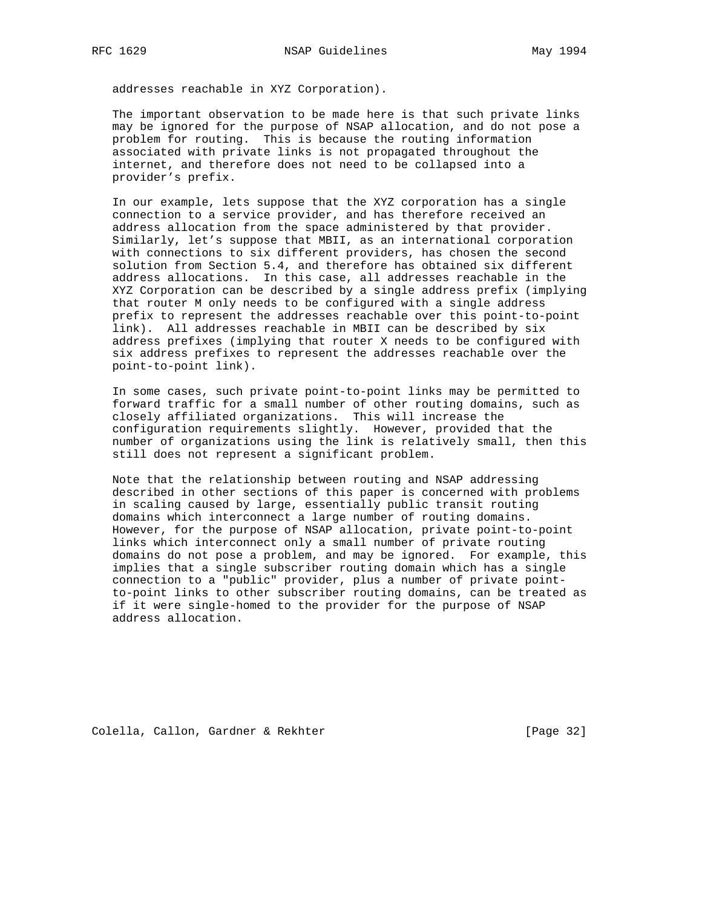addresses reachable in XYZ Corporation).

 The important observation to be made here is that such private links may be ignored for the purpose of NSAP allocation, and do not pose a problem for routing. This is because the routing information associated with private links is not propagated throughout the internet, and therefore does not need to be collapsed into a provider's prefix.

 In our example, lets suppose that the XYZ corporation has a single connection to a service provider, and has therefore received an address allocation from the space administered by that provider. Similarly, let's suppose that MBII, as an international corporation with connections to six different providers, has chosen the second solution from Section 5.4, and therefore has obtained six different address allocations. In this case, all addresses reachable in the XYZ Corporation can be described by a single address prefix (implying that router M only needs to be configured with a single address prefix to represent the addresses reachable over this point-to-point link). All addresses reachable in MBII can be described by six address prefixes (implying that router X needs to be configured with six address prefixes to represent the addresses reachable over the point-to-point link).

 In some cases, such private point-to-point links may be permitted to forward traffic for a small number of other routing domains, such as closely affiliated organizations. This will increase the configuration requirements slightly. However, provided that the number of organizations using the link is relatively small, then this still does not represent a significant problem.

 Note that the relationship between routing and NSAP addressing described in other sections of this paper is concerned with problems in scaling caused by large, essentially public transit routing domains which interconnect a large number of routing domains. However, for the purpose of NSAP allocation, private point-to-point links which interconnect only a small number of private routing domains do not pose a problem, and may be ignored. For example, this implies that a single subscriber routing domain which has a single connection to a "public" provider, plus a number of private point to-point links to other subscriber routing domains, can be treated as if it were single-homed to the provider for the purpose of NSAP address allocation.

Colella, Callon, Gardner & Rekhter [Page 32]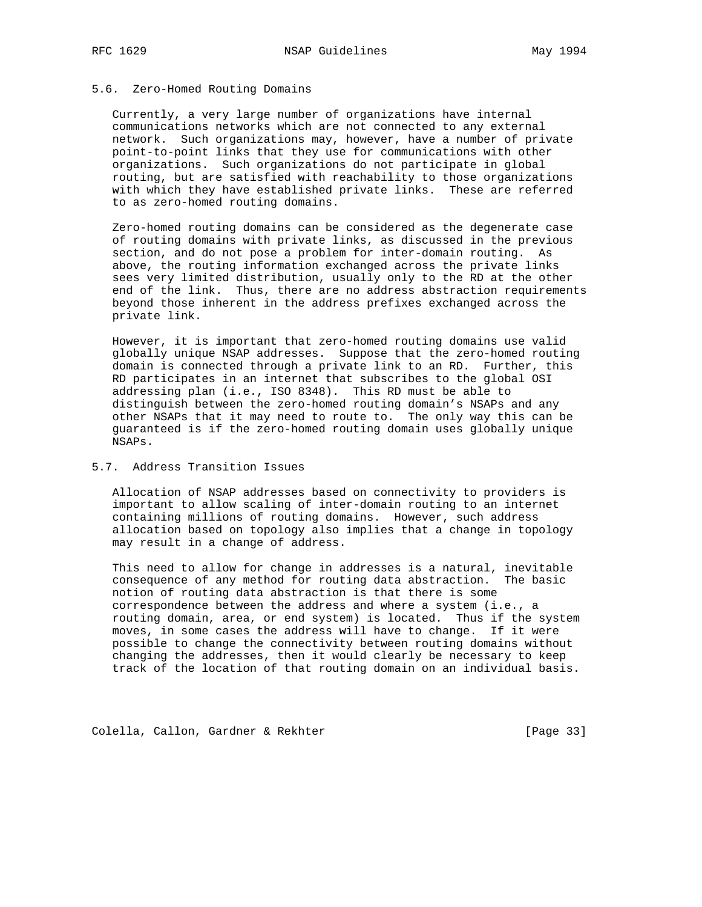#### 5.6. Zero-Homed Routing Domains

 Currently, a very large number of organizations have internal communications networks which are not connected to any external network. Such organizations may, however, have a number of private point-to-point links that they use for communications with other organizations. Such organizations do not participate in global routing, but are satisfied with reachability to those organizations with which they have established private links. These are referred to as zero-homed routing domains.

 Zero-homed routing domains can be considered as the degenerate case of routing domains with private links, as discussed in the previous section, and do not pose a problem for inter-domain routing. As above, the routing information exchanged across the private links sees very limited distribution, usually only to the RD at the other end of the link. Thus, there are no address abstraction requirements beyond those inherent in the address prefixes exchanged across the private link.

 However, it is important that zero-homed routing domains use valid globally unique NSAP addresses. Suppose that the zero-homed routing domain is connected through a private link to an RD. Further, this RD participates in an internet that subscribes to the global OSI addressing plan (i.e., ISO 8348). This RD must be able to distinguish between the zero-homed routing domain's NSAPs and any other NSAPs that it may need to route to. The only way this can be guaranteed is if the zero-homed routing domain uses globally unique NSAPs.

### 5.7. Address Transition Issues

 Allocation of NSAP addresses based on connectivity to providers is important to allow scaling of inter-domain routing to an internet containing millions of routing domains. However, such address allocation based on topology also implies that a change in topology may result in a change of address.

 This need to allow for change in addresses is a natural, inevitable consequence of any method for routing data abstraction. The basic notion of routing data abstraction is that there is some correspondence between the address and where a system (i.e., a routing domain, area, or end system) is located. Thus if the system moves, in some cases the address will have to change. If it were possible to change the connectivity between routing domains without changing the addresses, then it would clearly be necessary to keep track of the location of that routing domain on an individual basis.

Colella, Callon, Gardner & Rekhter [Page 33]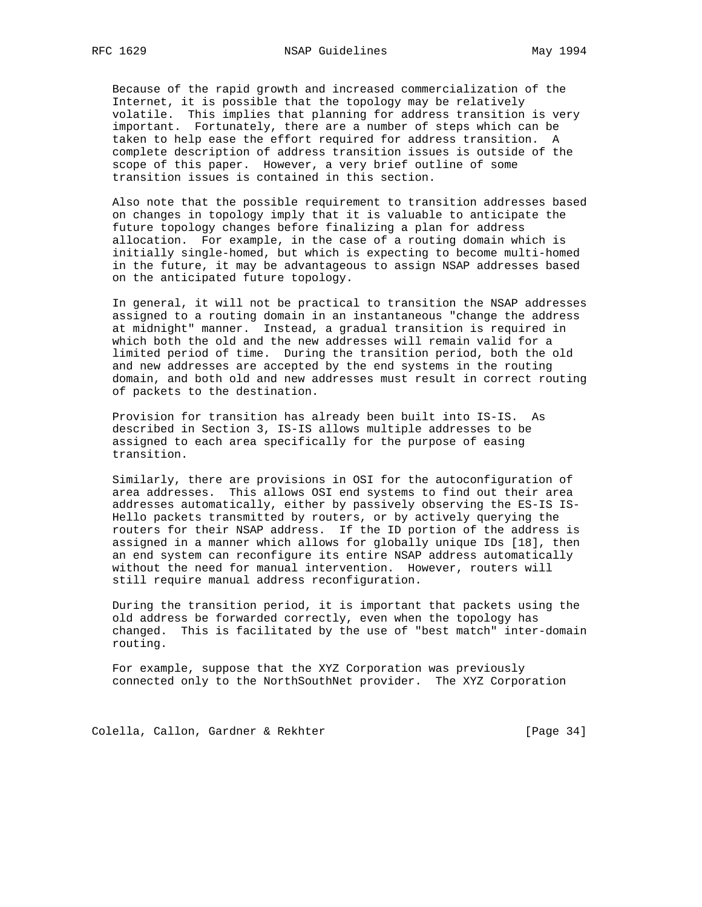Because of the rapid growth and increased commercialization of the Internet, it is possible that the topology may be relatively volatile. This implies that planning for address transition is very important. Fortunately, there are a number of steps which can be taken to help ease the effort required for address transition. A complete description of address transition issues is outside of the scope of this paper. However, a very brief outline of some transition issues is contained in this section.

 Also note that the possible requirement to transition addresses based on changes in topology imply that it is valuable to anticipate the future topology changes before finalizing a plan for address allocation. For example, in the case of a routing domain which is initially single-homed, but which is expecting to become multi-homed in the future, it may be advantageous to assign NSAP addresses based on the anticipated future topology.

 In general, it will not be practical to transition the NSAP addresses assigned to a routing domain in an instantaneous "change the address at midnight" manner. Instead, a gradual transition is required in which both the old and the new addresses will remain valid for a limited period of time. During the transition period, both the old and new addresses are accepted by the end systems in the routing domain, and both old and new addresses must result in correct routing of packets to the destination.

 Provision for transition has already been built into IS-IS. As described in Section 3, IS-IS allows multiple addresses to be assigned to each area specifically for the purpose of easing transition.

 Similarly, there are provisions in OSI for the autoconfiguration of area addresses. This allows OSI end systems to find out their area addresses automatically, either by passively observing the ES-IS IS- Hello packets transmitted by routers, or by actively querying the routers for their NSAP address. If the ID portion of the address is assigned in a manner which allows for globally unique IDs [18], then an end system can reconfigure its entire NSAP address automatically without the need for manual intervention. However, routers will still require manual address reconfiguration.

 During the transition period, it is important that packets using the old address be forwarded correctly, even when the topology has changed. This is facilitated by the use of "best match" inter-domain routing.

 For example, suppose that the XYZ Corporation was previously connected only to the NorthSouthNet provider. The XYZ Corporation

Colella, Callon, Gardner & Rekhter [Page 34]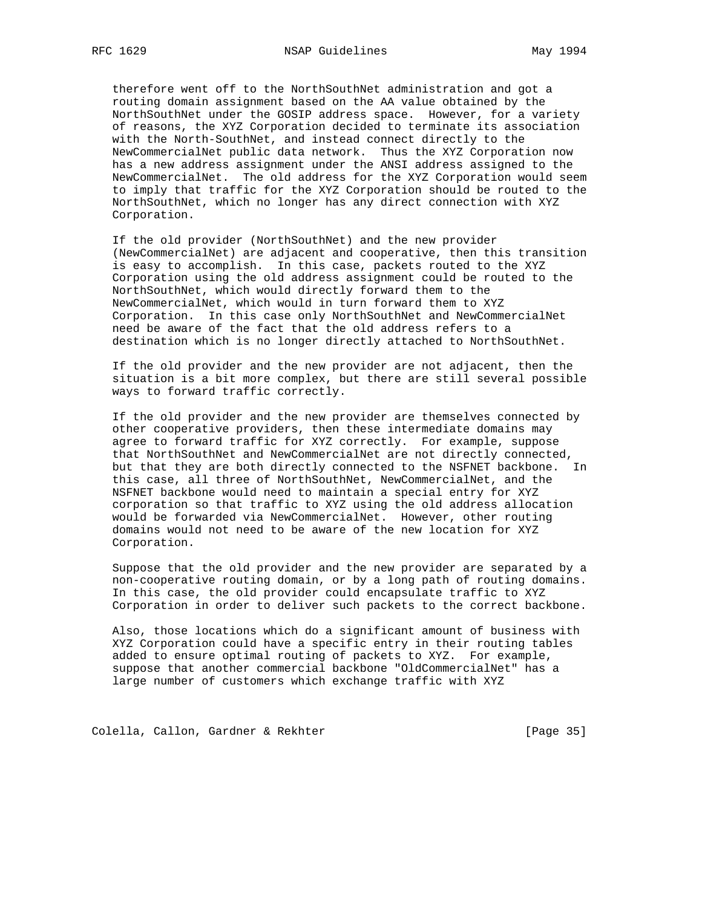therefore went off to the NorthSouthNet administration and got a routing domain assignment based on the AA value obtained by the NorthSouthNet under the GOSIP address space. However, for a variety of reasons, the XYZ Corporation decided to terminate its association with the North-SouthNet, and instead connect directly to the NewCommercialNet public data network. Thus the XYZ Corporation now has a new address assignment under the ANSI address assigned to the NewCommercialNet. The old address for the XYZ Corporation would seem to imply that traffic for the XYZ Corporation should be routed to the NorthSouthNet, which no longer has any direct connection with XYZ Corporation.

 If the old provider (NorthSouthNet) and the new provider (NewCommercialNet) are adjacent and cooperative, then this transition is easy to accomplish. In this case, packets routed to the XYZ Corporation using the old address assignment could be routed to the NorthSouthNet, which would directly forward them to the NewCommercialNet, which would in turn forward them to XYZ Corporation. In this case only NorthSouthNet and NewCommercialNet need be aware of the fact that the old address refers to a destination which is no longer directly attached to NorthSouthNet.

 If the old provider and the new provider are not adjacent, then the situation is a bit more complex, but there are still several possible ways to forward traffic correctly.

 If the old provider and the new provider are themselves connected by other cooperative providers, then these intermediate domains may agree to forward traffic for XYZ correctly. For example, suppose that NorthSouthNet and NewCommercialNet are not directly connected, but that they are both directly connected to the NSFNET backbone. In this case, all three of NorthSouthNet, NewCommercialNet, and the NSFNET backbone would need to maintain a special entry for XYZ corporation so that traffic to XYZ using the old address allocation would be forwarded via NewCommercialNet. However, other routing domains would not need to be aware of the new location for XYZ Corporation.

 Suppose that the old provider and the new provider are separated by a non-cooperative routing domain, or by a long path of routing domains. In this case, the old provider could encapsulate traffic to XYZ Corporation in order to deliver such packets to the correct backbone.

 Also, those locations which do a significant amount of business with XYZ Corporation could have a specific entry in their routing tables added to ensure optimal routing of packets to XYZ. For example, suppose that another commercial backbone "OldCommercialNet" has a large number of customers which exchange traffic with XYZ

Colella, Callon, Gardner & Rekhter [Page 35]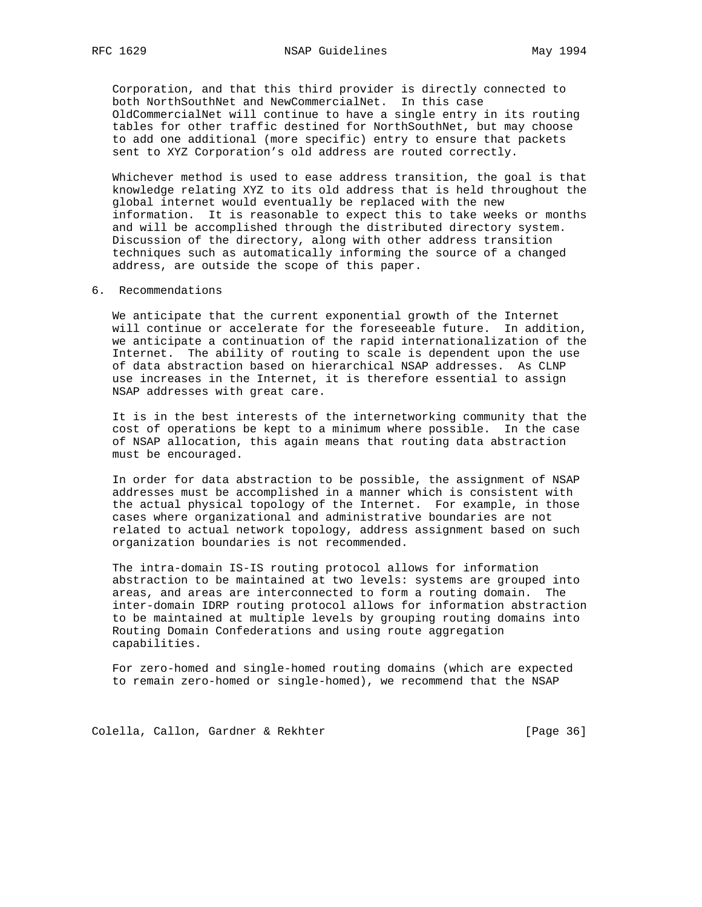Corporation, and that this third provider is directly connected to both NorthSouthNet and NewCommercialNet. In this case OldCommercialNet will continue to have a single entry in its routing tables for other traffic destined for NorthSouthNet, but may choose to add one additional (more specific) entry to ensure that packets sent to XYZ Corporation's old address are routed correctly.

 Whichever method is used to ease address transition, the goal is that knowledge relating XYZ to its old address that is held throughout the global internet would eventually be replaced with the new information. It is reasonable to expect this to take weeks or months and will be accomplished through the distributed directory system. Discussion of the directory, along with other address transition techniques such as automatically informing the source of a changed address, are outside the scope of this paper.

6. Recommendations

 We anticipate that the current exponential growth of the Internet will continue or accelerate for the foreseeable future. In addition, we anticipate a continuation of the rapid internationalization of the Internet. The ability of routing to scale is dependent upon the use of data abstraction based on hierarchical NSAP addresses. As CLNP use increases in the Internet, it is therefore essential to assign NSAP addresses with great care.

 It is in the best interests of the internetworking community that the cost of operations be kept to a minimum where possible. In the case of NSAP allocation, this again means that routing data abstraction must be encouraged.

 In order for data abstraction to be possible, the assignment of NSAP addresses must be accomplished in a manner which is consistent with the actual physical topology of the Internet. For example, in those cases where organizational and administrative boundaries are not related to actual network topology, address assignment based on such organization boundaries is not recommended.

 The intra-domain IS-IS routing protocol allows for information abstraction to be maintained at two levels: systems are grouped into areas, and areas are interconnected to form a routing domain. The inter-domain IDRP routing protocol allows for information abstraction to be maintained at multiple levels by grouping routing domains into Routing Domain Confederations and using route aggregation capabilities.

 For zero-homed and single-homed routing domains (which are expected to remain zero-homed or single-homed), we recommend that the NSAP

Colella, Callon, Gardner & Rekhter [Page 36]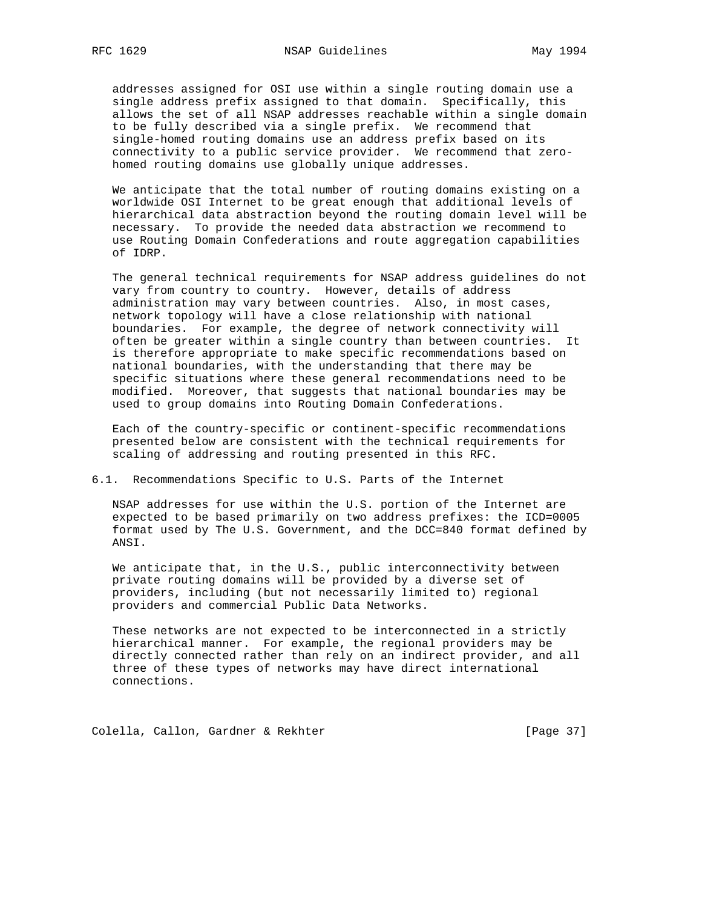addresses assigned for OSI use within a single routing domain use a single address prefix assigned to that domain. Specifically, this allows the set of all NSAP addresses reachable within a single domain to be fully described via a single prefix. We recommend that single-homed routing domains use an address prefix based on its connectivity to a public service provider. We recommend that zero homed routing domains use globally unique addresses.

 We anticipate that the total number of routing domains existing on a worldwide OSI Internet to be great enough that additional levels of hierarchical data abstraction beyond the routing domain level will be necessary. To provide the needed data abstraction we recommend to use Routing Domain Confederations and route aggregation capabilities of IDRP.

 The general technical requirements for NSAP address guidelines do not vary from country to country. However, details of address administration may vary between countries. Also, in most cases, network topology will have a close relationship with national boundaries. For example, the degree of network connectivity will often be greater within a single country than between countries. It is therefore appropriate to make specific recommendations based on national boundaries, with the understanding that there may be specific situations where these general recommendations need to be modified. Moreover, that suggests that national boundaries may be used to group domains into Routing Domain Confederations.

 Each of the country-specific or continent-specific recommendations presented below are consistent with the technical requirements for scaling of addressing and routing presented in this RFC.

#### 6.1. Recommendations Specific to U.S. Parts of the Internet

 NSAP addresses for use within the U.S. portion of the Internet are expected to be based primarily on two address prefixes: the ICD=0005 format used by The U.S. Government, and the DCC=840 format defined by ANSI.

 We anticipate that, in the U.S., public interconnectivity between private routing domains will be provided by a diverse set of providers, including (but not necessarily limited to) regional providers and commercial Public Data Networks.

 These networks are not expected to be interconnected in a strictly hierarchical manner. For example, the regional providers may be directly connected rather than rely on an indirect provider, and all three of these types of networks may have direct international connections.

Colella, Callon, Gardner & Rekhter [Page 37]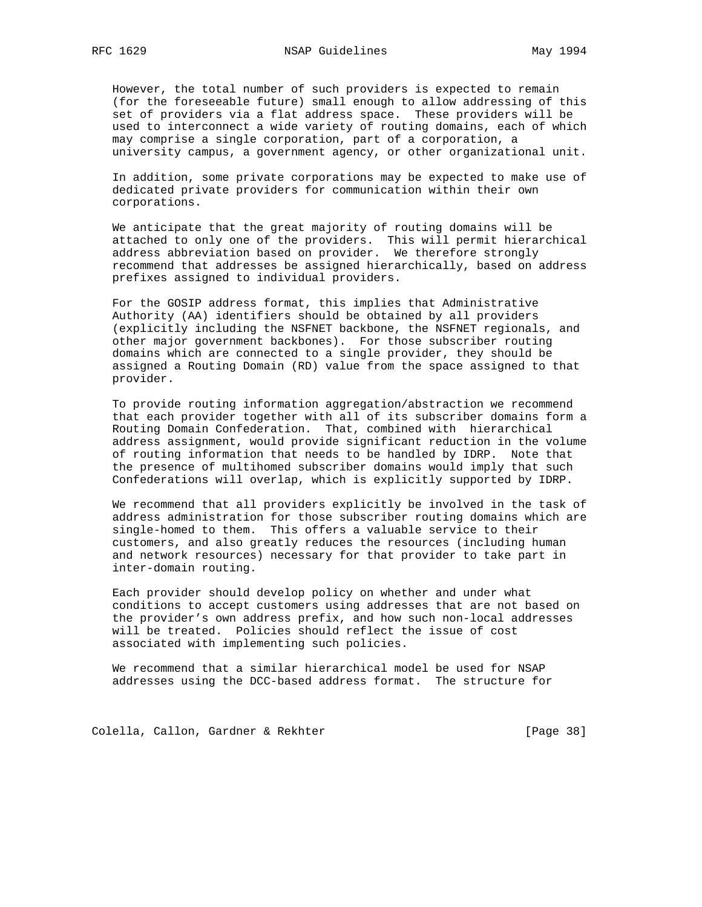However, the total number of such providers is expected to remain (for the foreseeable future) small enough to allow addressing of this set of providers via a flat address space. These providers will be used to interconnect a wide variety of routing domains, each of which may comprise a single corporation, part of a corporation, a university campus, a government agency, or other organizational unit.

 In addition, some private corporations may be expected to make use of dedicated private providers for communication within their own corporations.

 We anticipate that the great majority of routing domains will be attached to only one of the providers. This will permit hierarchical address abbreviation based on provider. We therefore strongly recommend that addresses be assigned hierarchically, based on address prefixes assigned to individual providers.

 For the GOSIP address format, this implies that Administrative Authority (AA) identifiers should be obtained by all providers (explicitly including the NSFNET backbone, the NSFNET regionals, and other major government backbones). For those subscriber routing domains which are connected to a single provider, they should be assigned a Routing Domain (RD) value from the space assigned to that provider.

 To provide routing information aggregation/abstraction we recommend that each provider together with all of its subscriber domains form a Routing Domain Confederation. That, combined with hierarchical address assignment, would provide significant reduction in the volume of routing information that needs to be handled by IDRP. Note that the presence of multihomed subscriber domains would imply that such Confederations will overlap, which is explicitly supported by IDRP.

 We recommend that all providers explicitly be involved in the task of address administration for those subscriber routing domains which are single-homed to them. This offers a valuable service to their customers, and also greatly reduces the resources (including human and network resources) necessary for that provider to take part in inter-domain routing.

 Each provider should develop policy on whether and under what conditions to accept customers using addresses that are not based on the provider's own address prefix, and how such non-local addresses will be treated. Policies should reflect the issue of cost associated with implementing such policies.

 We recommend that a similar hierarchical model be used for NSAP addresses using the DCC-based address format. The structure for

Colella, Callon, Gardner & Rekhter [Page 38]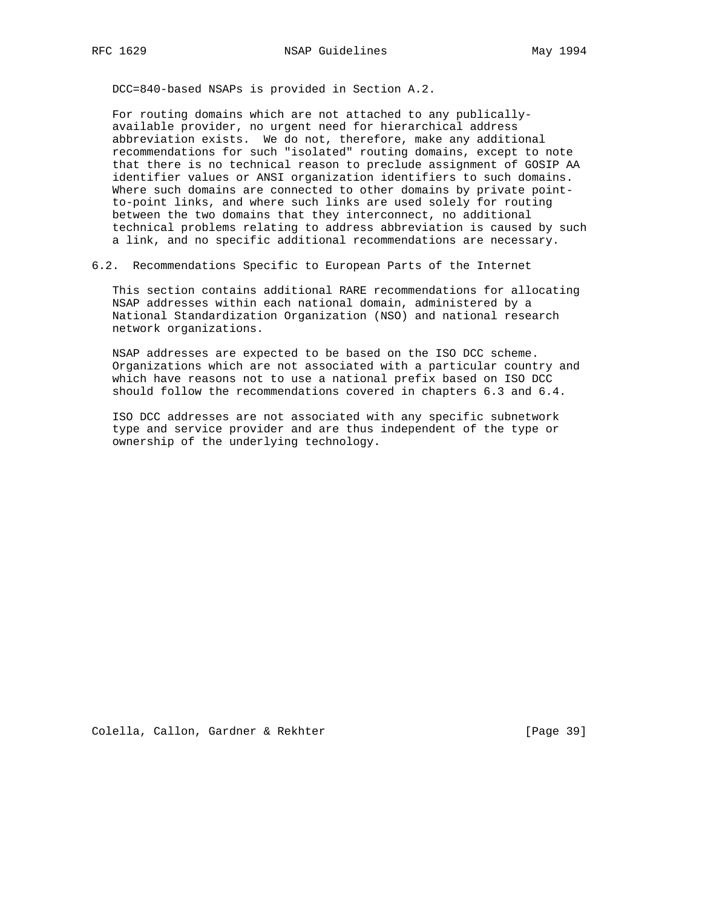DCC=840-based NSAPs is provided in Section A.2.

 For routing domains which are not attached to any publically available provider, no urgent need for hierarchical address abbreviation exists. We do not, therefore, make any additional recommendations for such "isolated" routing domains, except to note that there is no technical reason to preclude assignment of GOSIP AA identifier values or ANSI organization identifiers to such domains. Where such domains are connected to other domains by private point to-point links, and where such links are used solely for routing between the two domains that they interconnect, no additional technical problems relating to address abbreviation is caused by such a link, and no specific additional recommendations are necessary.

6.2. Recommendations Specific to European Parts of the Internet

 This section contains additional RARE recommendations for allocating NSAP addresses within each national domain, administered by a National Standardization Organization (NSO) and national research network organizations.

 NSAP addresses are expected to be based on the ISO DCC scheme. Organizations which are not associated with a particular country and which have reasons not to use a national prefix based on ISO DCC should follow the recommendations covered in chapters 6.3 and 6.4.

 ISO DCC addresses are not associated with any specific subnetwork type and service provider and are thus independent of the type or ownership of the underlying technology.

Colella, Callon, Gardner & Rekhter [Page 39]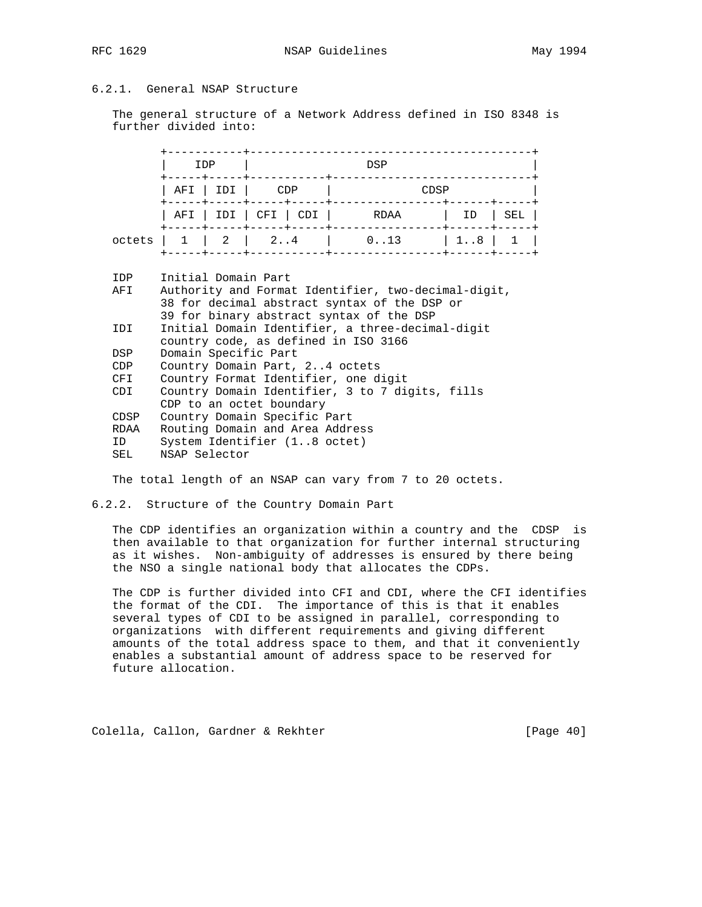# 6.2.1. General NSAP Structure

 The general structure of a Network Address defined in ISO 8348 is further divided into:

|        |                                     | IDP               | DSP                          |                                     |               |                      |     |  |  |
|--------|-------------------------------------|-------------------|------------------------------|-------------------------------------|---------------|----------------------|-----|--|--|
|        | $ $ AFI $ $ IDI $ $                 |                   | CDP<br>-----+-----+----+---- |                                     | CDSP          |                      |     |  |  |
|        |                                     | -----+-----+----- |                              | $ $ AFI $ $ IDI $ $ CFI $ $ CDI $ $ | RDAA          | ID                   | SEL |  |  |
| octets | $1 \quad 2 \quad 2 \quad 3 \quad 4$ |                   |                              |                                     | $0 \ldots 13$ | $\vert$ 18 $\vert$ 1 |     |  |  |

IDP Initial Domain Part

| AFI         | Authority and Format Identifier, two-decimal-digit, |
|-------------|-----------------------------------------------------|
|             | 38 for decimal abstract syntax of the DSP or        |
|             | 39 for binary abstract syntax of the DSP            |
| IDI         | Initial Domain Identifier, a three-decimal-digit    |
|             | country code, as defined in ISO 3166                |
| <b>DSP</b>  | Domain Specific Part                                |
| CDP         | Country Domain Part, 24 octets                      |
| CFI         | Country Format Identifier, one digit                |
| CDI         | Country Domain Identifier, 3 to 7 digits, fills     |
|             | CDP to an octet boundary                            |
| <b>CDSP</b> | Country Domain Specific Part                        |
| RDAA        | Routing Domain and Area Address                     |
| ID          | System Identifier (18 octet)                        |
| SEL         | NSAP Selector                                       |
|             |                                                     |

The total length of an NSAP can vary from 7 to 20 octets.

## 6.2.2. Structure of the Country Domain Part

 The CDP identifies an organization within a country and the CDSP is then available to that organization for further internal structuring as it wishes. Non-ambiguity of addresses is ensured by there being the NSO a single national body that allocates the CDPs.

 The CDP is further divided into CFI and CDI, where the CFI identifies the format of the CDI. The importance of this is that it enables several types of CDI to be assigned in parallel, corresponding to organizations with different requirements and giving different amounts of the total address space to them, and that it conveniently enables a substantial amount of address space to be reserved for future allocation.

Colella, Callon, Gardner & Rekhter [Page 40]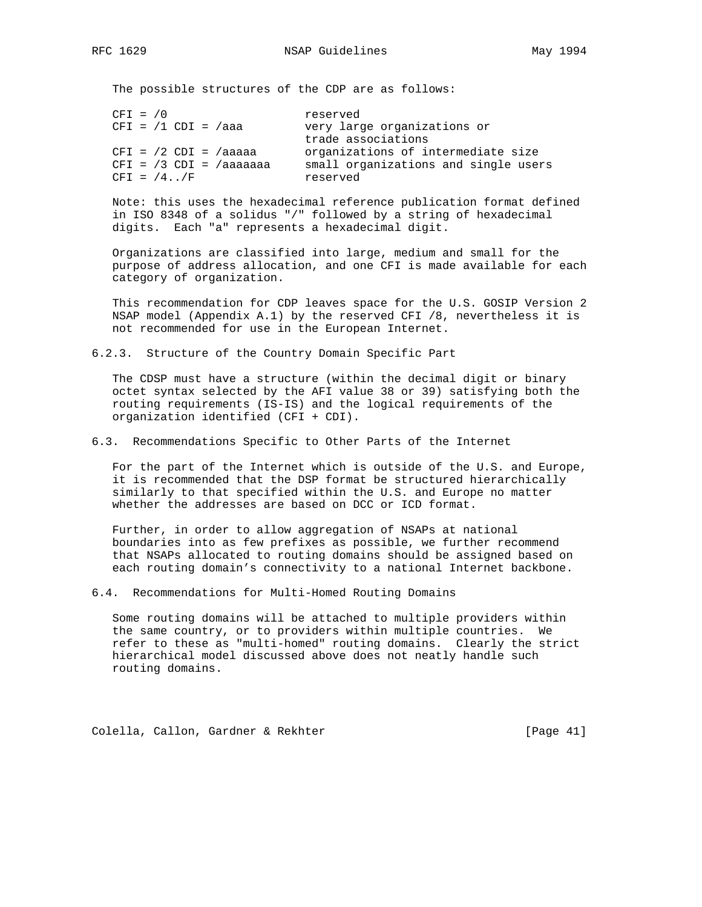The possible structures of the CDP are as follows:

| $CFI = /0$               | reserved                             |
|--------------------------|--------------------------------------|
| $CFI = /1 CDI = /aaa$    | very large organizations or          |
|                          | trade associations                   |
| $CFI = /2 CDI = /aaaa$   | organizations of intermediate size   |
| $CFI = /3 CDI = /aaaaaa$ | small organizations and single users |
| $CFT = /4.7/F$           | reserved                             |

 Note: this uses the hexadecimal reference publication format defined in ISO 8348 of a solidus "/" followed by a string of hexadecimal digits. Each "a" represents a hexadecimal digit.

 Organizations are classified into large, medium and small for the purpose of address allocation, and one CFI is made available for each category of organization.

 This recommendation for CDP leaves space for the U.S. GOSIP Version 2 NSAP model (Appendix A.1) by the reserved CFI /8, nevertheless it is not recommended for use in the European Internet.

6.2.3. Structure of the Country Domain Specific Part

 The CDSP must have a structure (within the decimal digit or binary octet syntax selected by the AFI value 38 or 39) satisfying both the routing requirements (IS-IS) and the logical requirements of the organization identified (CFI + CDI).

6.3. Recommendations Specific to Other Parts of the Internet

 For the part of the Internet which is outside of the U.S. and Europe, it is recommended that the DSP format be structured hierarchically similarly to that specified within the U.S. and Europe no matter whether the addresses are based on DCC or ICD format.

 Further, in order to allow aggregation of NSAPs at national boundaries into as few prefixes as possible, we further recommend that NSAPs allocated to routing domains should be assigned based on each routing domain's connectivity to a national Internet backbone.

6.4. Recommendations for Multi-Homed Routing Domains

 Some routing domains will be attached to multiple providers within the same country, or to providers within multiple countries. We refer to these as "multi-homed" routing domains. Clearly the strict hierarchical model discussed above does not neatly handle such routing domains.

Colella, Callon, Gardner & Rekhter [Page 41]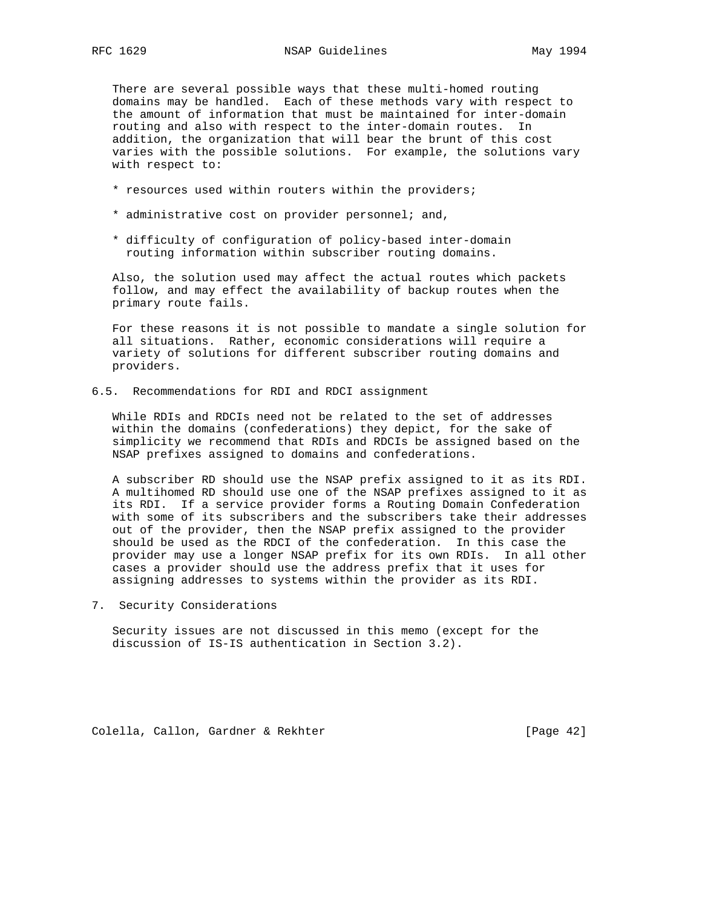There are several possible ways that these multi-homed routing domains may be handled. Each of these methods vary with respect to the amount of information that must be maintained for inter-domain routing and also with respect to the inter-domain routes. In addition, the organization that will bear the brunt of this cost varies with the possible solutions. For example, the solutions vary with respect to:

- \* resources used within routers within the providers;
- \* administrative cost on provider personnel; and,
- \* difficulty of configuration of policy-based inter-domain routing information within subscriber routing domains.

 Also, the solution used may affect the actual routes which packets follow, and may effect the availability of backup routes when the primary route fails.

 For these reasons it is not possible to mandate a single solution for all situations. Rather, economic considerations will require a variety of solutions for different subscriber routing domains and providers.

6.5. Recommendations for RDI and RDCI assignment

 While RDIs and RDCIs need not be related to the set of addresses within the domains (confederations) they depict, for the sake of simplicity we recommend that RDIs and RDCIs be assigned based on the NSAP prefixes assigned to domains and confederations.

 A subscriber RD should use the NSAP prefix assigned to it as its RDI. A multihomed RD should use one of the NSAP prefixes assigned to it as its RDI. If a service provider forms a Routing Domain Confederation with some of its subscribers and the subscribers take their addresses out of the provider, then the NSAP prefix assigned to the provider should be used as the RDCI of the confederation. In this case the provider may use a longer NSAP prefix for its own RDIs. In all other cases a provider should use the address prefix that it uses for assigning addresses to systems within the provider as its RDI.

7. Security Considerations

 Security issues are not discussed in this memo (except for the discussion of IS-IS authentication in Section 3.2).

Colella, Callon, Gardner & Rekhter [Page 42]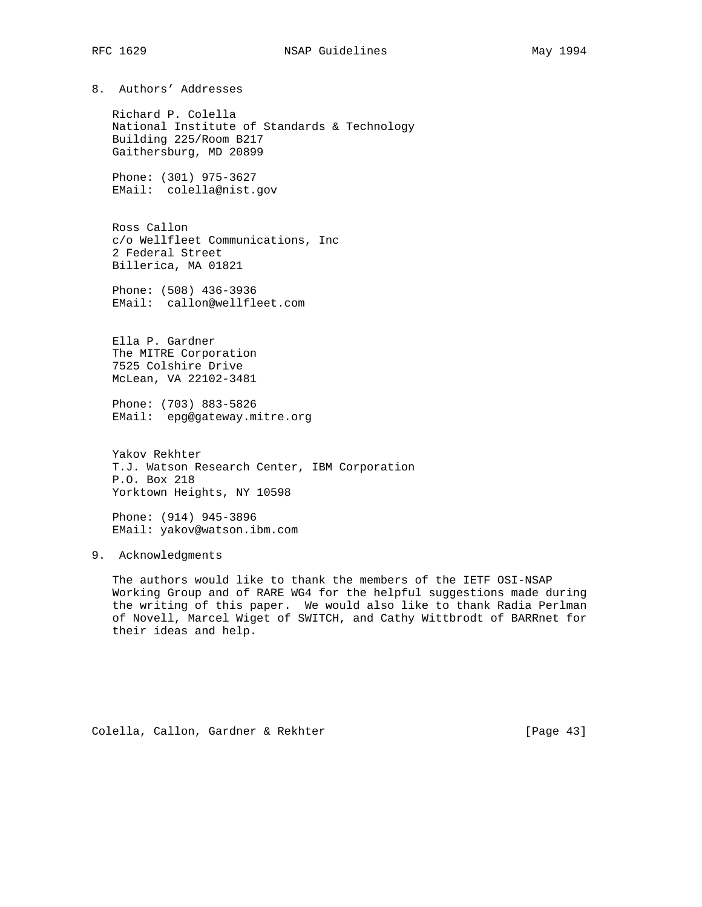8. Authors' Addresses

 Richard P. Colella National Institute of Standards & Technology Building 225/Room B217 Gaithersburg, MD 20899

 Phone: (301) 975-3627 EMail: colella@nist.gov

 Ross Callon c/o Wellfleet Communications, Inc 2 Federal Street Billerica, MA 01821

 Phone: (508) 436-3936 EMail: callon@wellfleet.com

 Ella P. Gardner The MITRE Corporation 7525 Colshire Drive McLean, VA 22102-3481

 Phone: (703) 883-5826 EMail: epg@gateway.mitre.org

 Yakov Rekhter T.J. Watson Research Center, IBM Corporation P.O. Box 218 Yorktown Heights, NY 10598

 Phone: (914) 945-3896 EMail: yakov@watson.ibm.com

9. Acknowledgments

 The authors would like to thank the members of the IETF OSI-NSAP Working Group and of RARE WG4 for the helpful suggestions made during the writing of this paper. We would also like to thank Radia Perlman of Novell, Marcel Wiget of SWITCH, and Cathy Wittbrodt of BARRnet for their ideas and help.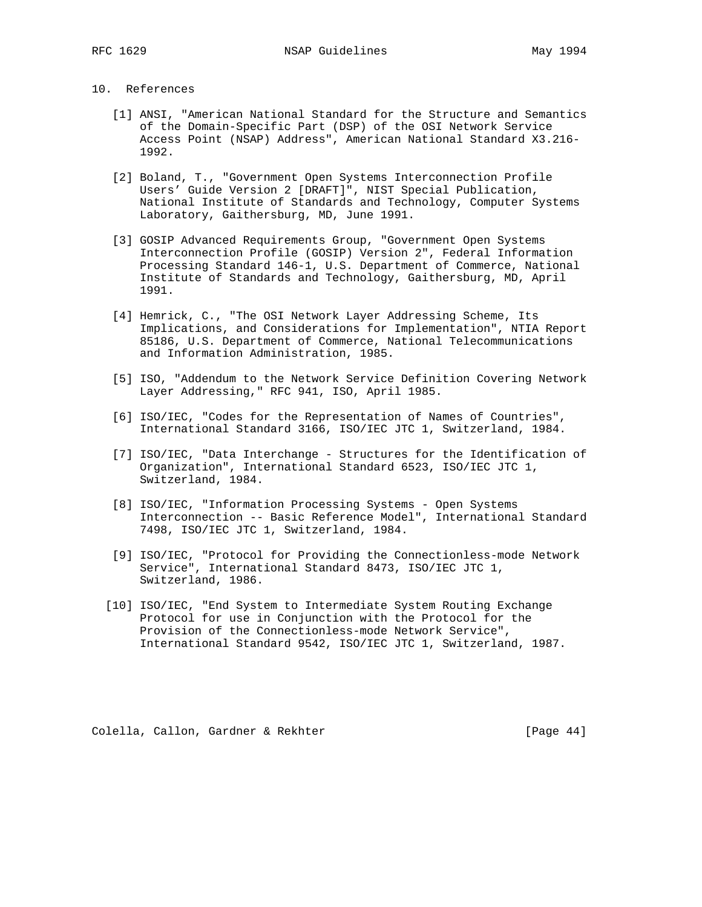# 10. References

- [1] ANSI, "American National Standard for the Structure and Semantics of the Domain-Specific Part (DSP) of the OSI Network Service Access Point (NSAP) Address", American National Standard X3.216- 1992.
- [2] Boland, T., "Government Open Systems Interconnection Profile Users' Guide Version 2 [DRAFT]", NIST Special Publication, National Institute of Standards and Technology, Computer Systems Laboratory, Gaithersburg, MD, June 1991.
- [3] GOSIP Advanced Requirements Group, "Government Open Systems Interconnection Profile (GOSIP) Version 2", Federal Information Processing Standard 146-1, U.S. Department of Commerce, National Institute of Standards and Technology, Gaithersburg, MD, April 1991.
- [4] Hemrick, C., "The OSI Network Layer Addressing Scheme, Its Implications, and Considerations for Implementation", NTIA Report 85186, U.S. Department of Commerce, National Telecommunications and Information Administration, 1985.
- [5] ISO, "Addendum to the Network Service Definition Covering Network Layer Addressing," RFC 941, ISO, April 1985.
- [6] ISO/IEC, "Codes for the Representation of Names of Countries", International Standard 3166, ISO/IEC JTC 1, Switzerland, 1984.
- [7] ISO/IEC, "Data Interchange Structures for the Identification of Organization", International Standard 6523, ISO/IEC JTC 1, Switzerland, 1984.
- [8] ISO/IEC, "Information Processing Systems Open Systems Interconnection -- Basic Reference Model", International Standard 7498, ISO/IEC JTC 1, Switzerland, 1984.
- [9] ISO/IEC, "Protocol for Providing the Connectionless-mode Network Service", International Standard 8473, ISO/IEC JTC 1, Switzerland, 1986.
- [10] ISO/IEC, "End System to Intermediate System Routing Exchange Protocol for use in Conjunction with the Protocol for the Provision of the Connectionless-mode Network Service", International Standard 9542, ISO/IEC JTC 1, Switzerland, 1987.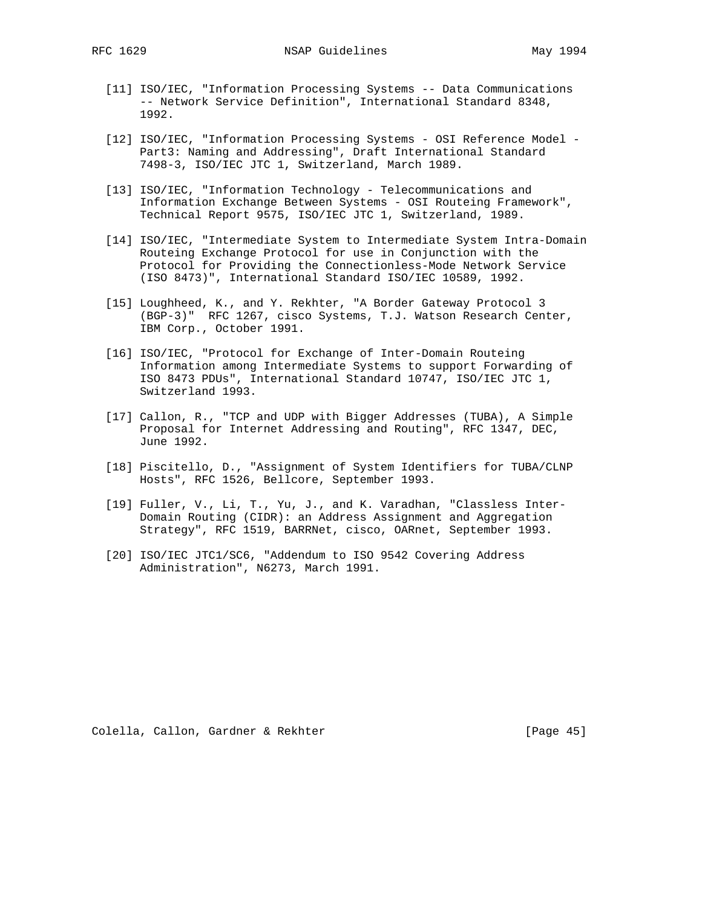- [11] ISO/IEC, "Information Processing Systems -- Data Communications -- Network Service Definition", International Standard 8348, 1992.
- [12] ISO/IEC, "Information Processing Systems OSI Reference Model Part3: Naming and Addressing", Draft International Standard 7498-3, ISO/IEC JTC 1, Switzerland, March 1989.
- [13] ISO/IEC, "Information Technology Telecommunications and Information Exchange Between Systems - OSI Routeing Framework", Technical Report 9575, ISO/IEC JTC 1, Switzerland, 1989.
- [14] ISO/IEC, "Intermediate System to Intermediate System Intra-Domain Routeing Exchange Protocol for use in Conjunction with the Protocol for Providing the Connectionless-Mode Network Service (ISO 8473)", International Standard ISO/IEC 10589, 1992.
- [15] Loughheed, K., and Y. Rekhter, "A Border Gateway Protocol 3 (BGP-3)" RFC 1267, cisco Systems, T.J. Watson Research Center, IBM Corp., October 1991.
- [16] ISO/IEC, "Protocol for Exchange of Inter-Domain Routeing Information among Intermediate Systems to support Forwarding of ISO 8473 PDUs", International Standard 10747, ISO/IEC JTC 1, Switzerland 1993.
- [17] Callon, R., "TCP and UDP with Bigger Addresses (TUBA), A Simple Proposal for Internet Addressing and Routing", RFC 1347, DEC, June 1992.
- [18] Piscitello, D., "Assignment of System Identifiers for TUBA/CLNP Hosts", RFC 1526, Bellcore, September 1993.
- [19] Fuller, V., Li, T., Yu, J., and K. Varadhan, "Classless Inter- Domain Routing (CIDR): an Address Assignment and Aggregation Strategy", RFC 1519, BARRNet, cisco, OARnet, September 1993.
- [20] ISO/IEC JTC1/SC6, "Addendum to ISO 9542 Covering Address Administration", N6273, March 1991.

Colella, Callon, Gardner & Rekhter [Page 45]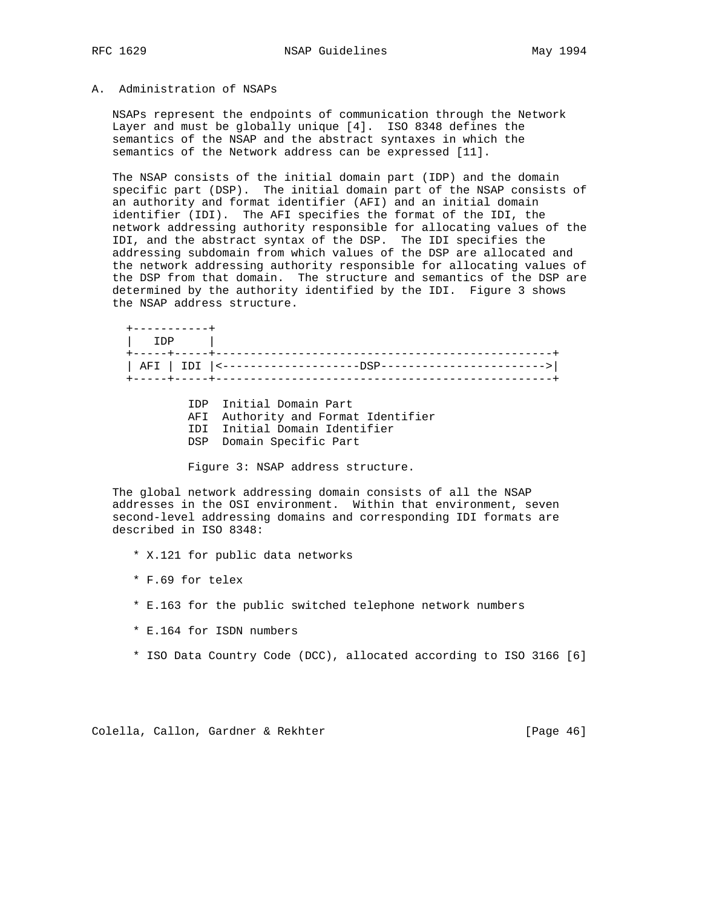# A. Administration of NSAPs

 NSAPs represent the endpoints of communication through the Network Layer and must be globally unique [4]. ISO 8348 defines the semantics of the NSAP and the abstract syntaxes in which the semantics of the Network address can be expressed [11].

 The NSAP consists of the initial domain part (IDP) and the domain specific part (DSP). The initial domain part of the NSAP consists of an authority and format identifier (AFI) and an initial domain identifier (IDI). The AFI specifies the format of the IDI, the network addressing authority responsible for allocating values of the IDI, and the abstract syntax of the DSP. The IDI specifies the addressing subdomain from which values of the DSP are allocated and the network addressing authority responsible for allocating values of the DSP from that domain. The structure and semantics of the DSP are determined by the authority identified by the IDI. Figure 3 shows the NSAP address structure.

 +-----------+ | IDP | +-----+-----+-------------------------------------------------+ | AFI | IDI |<--------------------DSP------------------------>| +-----+-----+-------------------------------------------------+

 IDP Initial Domain Part AFI Authority and Format Identifier IDI Initial Domain Identifier DSP Domain Specific Part

Figure 3: NSAP address structure.

 The global network addressing domain consists of all the NSAP addresses in the OSI environment. Within that environment, seven second-level addressing domains and corresponding IDI formats are described in ISO 8348:

- \* X.121 for public data networks
- \* F.69 for telex
- \* E.163 for the public switched telephone network numbers
- \* E.164 for ISDN numbers
- \* ISO Data Country Code (DCC), allocated according to ISO 3166 [6]

Colella, Callon, Gardner & Rekhter [Page 46]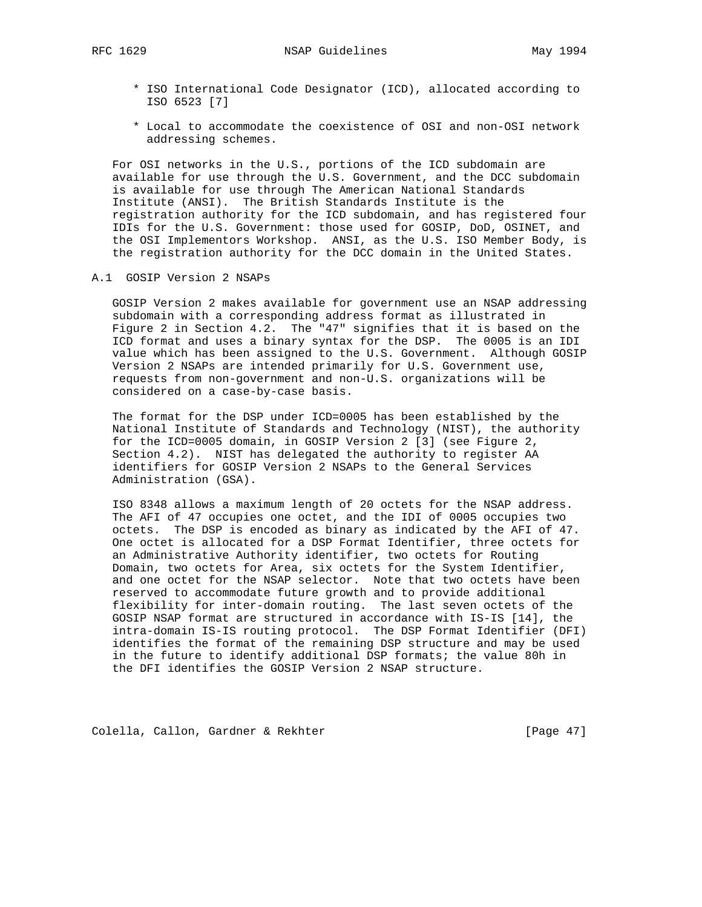RFC 1629 NSAP Guidelines May 1994

- \* ISO International Code Designator (ICD), allocated according to ISO 6523 [7]
- \* Local to accommodate the coexistence of OSI and non-OSI network addressing schemes.

 For OSI networks in the U.S., portions of the ICD subdomain are available for use through the U.S. Government, and the DCC subdomain is available for use through The American National Standards Institute (ANSI). The British Standards Institute is the registration authority for the ICD subdomain, and has registered four IDIs for the U.S. Government: those used for GOSIP, DoD, OSINET, and the OSI Implementors Workshop. ANSI, as the U.S. ISO Member Body, is the registration authority for the DCC domain in the United States.

A.1 GOSIP Version 2 NSAPs

 GOSIP Version 2 makes available for government use an NSAP addressing subdomain with a corresponding address format as illustrated in Figure 2 in Section 4.2. The "47" signifies that it is based on the ICD format and uses a binary syntax for the DSP. The 0005 is an IDI value which has been assigned to the U.S. Government. Although GOSIP Version 2 NSAPs are intended primarily for U.S. Government use, requests from non-government and non-U.S. organizations will be considered on a case-by-case basis.

 The format for the DSP under ICD=0005 has been established by the National Institute of Standards and Technology (NIST), the authority for the ICD=0005 domain, in GOSIP Version 2 [3] (see Figure 2, Section 4.2). NIST has delegated the authority to register AA identifiers for GOSIP Version 2 NSAPs to the General Services Administration (GSA).

 ISO 8348 allows a maximum length of 20 octets for the NSAP address. The AFI of 47 occupies one octet, and the IDI of 0005 occupies two octets. The DSP is encoded as binary as indicated by the AFI of 47. One octet is allocated for a DSP Format Identifier, three octets for an Administrative Authority identifier, two octets for Routing Domain, two octets for Area, six octets for the System Identifier, and one octet for the NSAP selector. Note that two octets have been reserved to accommodate future growth and to provide additional flexibility for inter-domain routing. The last seven octets of the GOSIP NSAP format are structured in accordance with IS-IS [14], the intra-domain IS-IS routing protocol. The DSP Format Identifier (DFI) identifies the format of the remaining DSP structure and may be used in the future to identify additional DSP formats; the value 80h in the DFI identifies the GOSIP Version 2 NSAP structure.

Colella, Callon, Gardner & Rekhter [Page 47]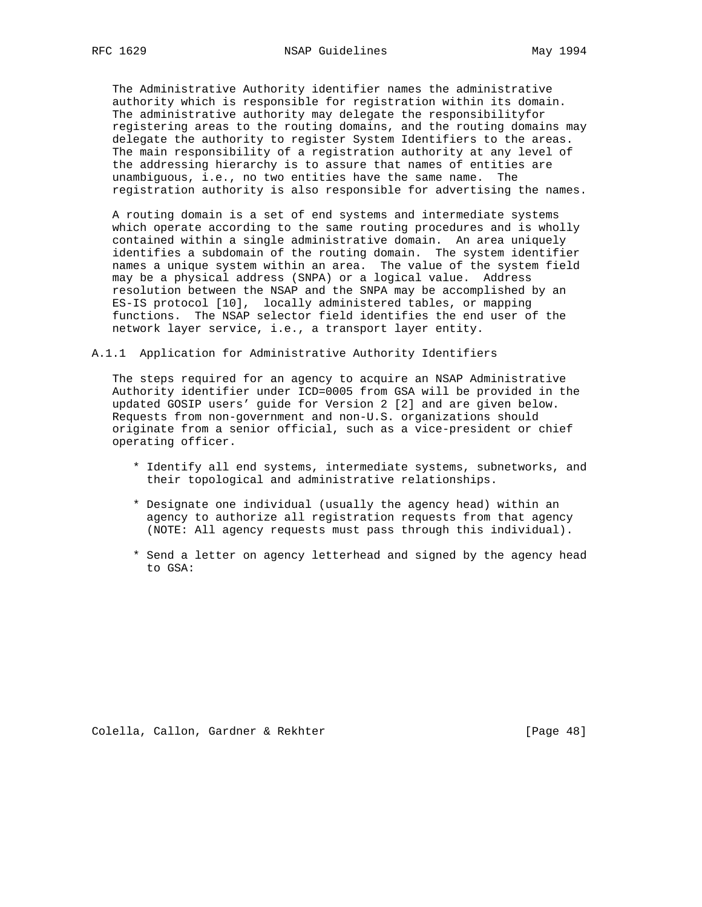The Administrative Authority identifier names the administrative authority which is responsible for registration within its domain. The administrative authority may delegate the responsibilityfor registering areas to the routing domains, and the routing domains may delegate the authority to register System Identifiers to the areas. The main responsibility of a registration authority at any level of the addressing hierarchy is to assure that names of entities are unambiguous, i.e., no two entities have the same name. The registration authority is also responsible for advertising the names.

 A routing domain is a set of end systems and intermediate systems which operate according to the same routing procedures and is wholly contained within a single administrative domain. An area uniquely identifies a subdomain of the routing domain. The system identifier names a unique system within an area. The value of the system field may be a physical address (SNPA) or a logical value. Address resolution between the NSAP and the SNPA may be accomplished by an ES-IS protocol [10], locally administered tables, or mapping functions. The NSAP selector field identifies the end user of the network layer service, i.e., a transport layer entity.

A.1.1 Application for Administrative Authority Identifiers

 The steps required for an agency to acquire an NSAP Administrative Authority identifier under ICD=0005 from GSA will be provided in the updated GOSIP users' guide for Version 2 [2] and are given below. Requests from non-government and non-U.S. organizations should originate from a senior official, such as a vice-president or chief operating officer.

- \* Identify all end systems, intermediate systems, subnetworks, and their topological and administrative relationships.
- \* Designate one individual (usually the agency head) within an agency to authorize all registration requests from that agency (NOTE: All agency requests must pass through this individual).
- \* Send a letter on agency letterhead and signed by the agency head to GSA:

Colella, Callon, Gardner & Rekhter [Page 48]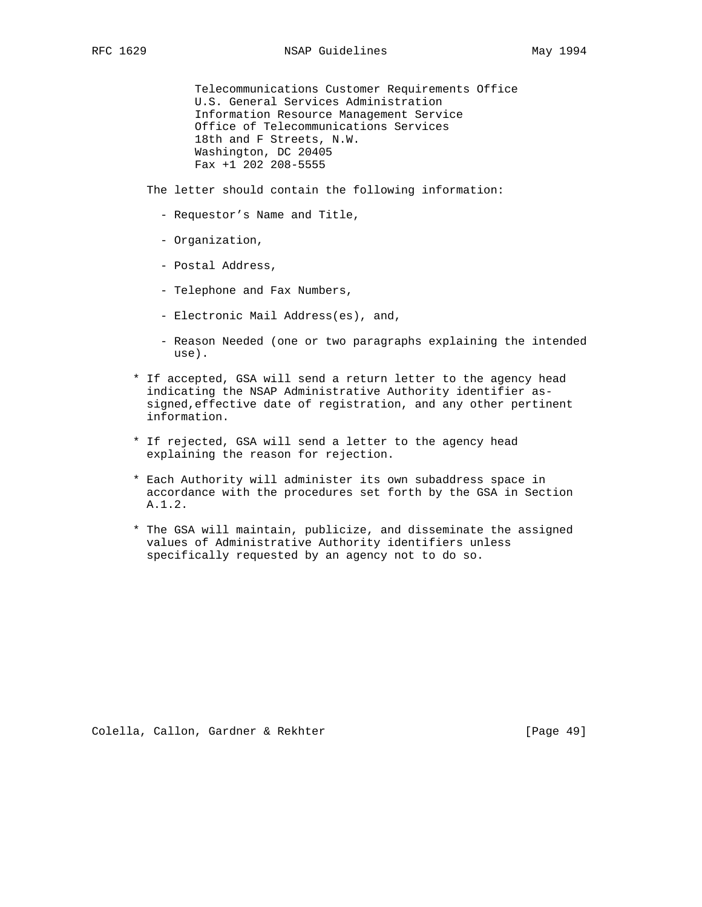Telecommunications Customer Requirements Office U.S. General Services Administration Information Resource Management Service Office of Telecommunications Services 18th and F Streets, N.W. Washington, DC 20405 Fax +1 202 208-5555

The letter should contain the following information:

- Requestor's Name and Title,
- Organization,
- Postal Address,
- Telephone and Fax Numbers,
- Electronic Mail Address(es), and,
- Reason Needed (one or two paragraphs explaining the intended use).
- \* If accepted, GSA will send a return letter to the agency head indicating the NSAP Administrative Authority identifier as signed,effective date of registration, and any other pertinent information.
- \* If rejected, GSA will send a letter to the agency head explaining the reason for rejection.
- \* Each Authority will administer its own subaddress space in accordance with the procedures set forth by the GSA in Section A.1.2.
- \* The GSA will maintain, publicize, and disseminate the assigned values of Administrative Authority identifiers unless specifically requested by an agency not to do so.

Colella, Callon, Gardner & Rekhter [Page 49]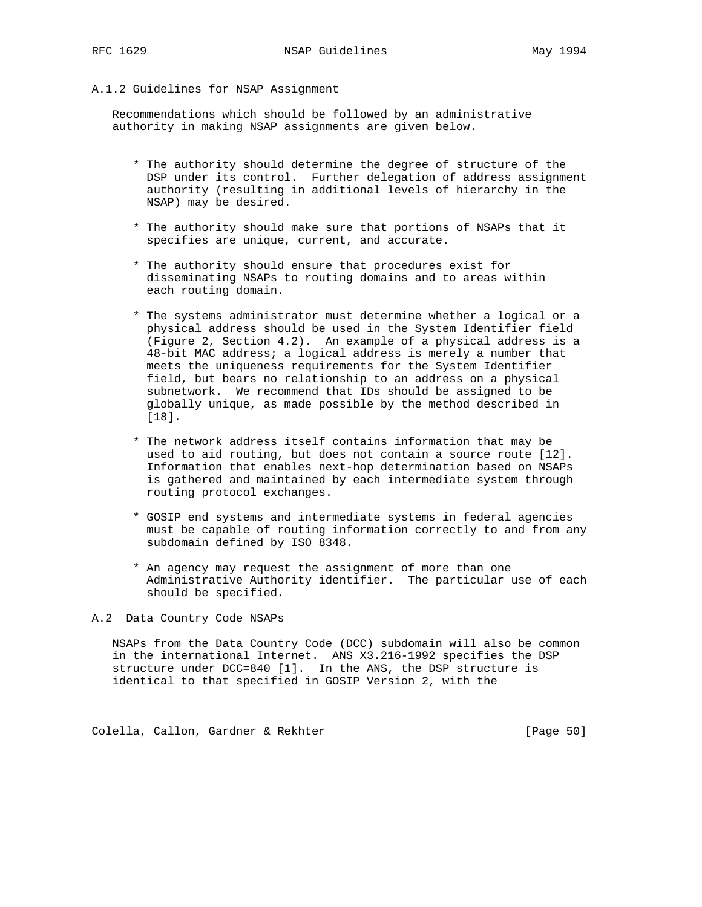#### A.1.2 Guidelines for NSAP Assignment

 Recommendations which should be followed by an administrative authority in making NSAP assignments are given below.

- \* The authority should determine the degree of structure of the DSP under its control. Further delegation of address assignment authority (resulting in additional levels of hierarchy in the NSAP) may be desired.
- \* The authority should make sure that portions of NSAPs that it specifies are unique, current, and accurate.
- \* The authority should ensure that procedures exist for disseminating NSAPs to routing domains and to areas within each routing domain.
- \* The systems administrator must determine whether a logical or a physical address should be used in the System Identifier field (Figure 2, Section 4.2). An example of a physical address is a 48-bit MAC address; a logical address is merely a number that meets the uniqueness requirements for the System Identifier field, but bears no relationship to an address on a physical subnetwork. We recommend that IDs should be assigned to be globally unique, as made possible by the method described in [18].
- \* The network address itself contains information that may be used to aid routing, but does not contain a source route [12]. Information that enables next-hop determination based on NSAPs is gathered and maintained by each intermediate system through routing protocol exchanges.
- \* GOSIP end systems and intermediate systems in federal agencies must be capable of routing information correctly to and from any subdomain defined by ISO 8348.
- \* An agency may request the assignment of more than one Administrative Authority identifier. The particular use of each should be specified.

A.2 Data Country Code NSAPs

 NSAPs from the Data Country Code (DCC) subdomain will also be common in the international Internet. ANS X3.216-1992 specifies the DSP structure under DCC=840 [1]. In the ANS, the DSP structure is identical to that specified in GOSIP Version 2, with the

Colella, Callon, Gardner & Rekhter [Page 50]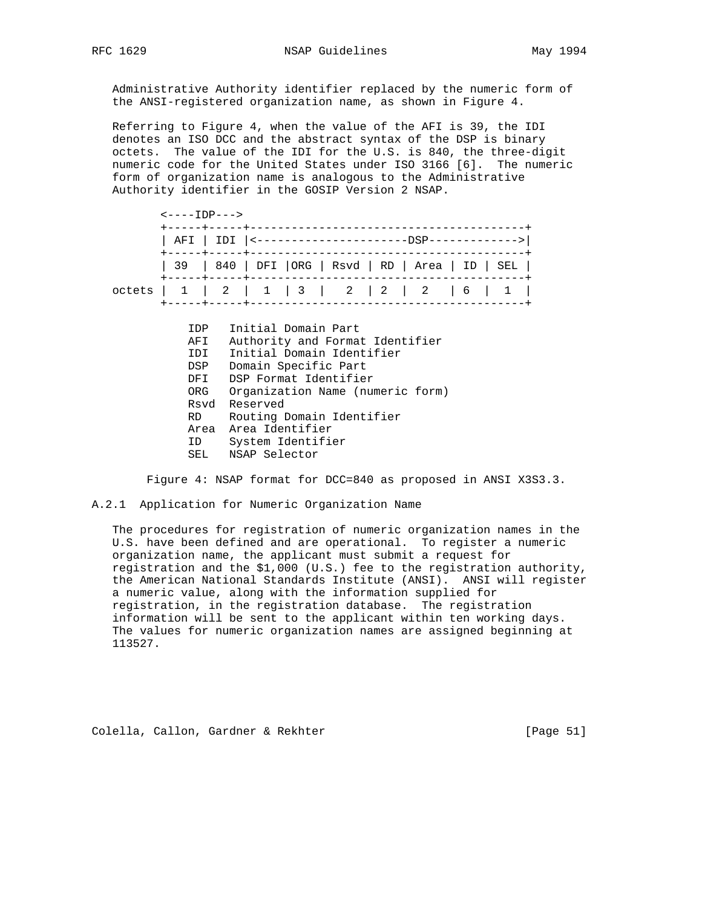Administrative Authority identifier replaced by the numeric form of the ANSI-registered organization name, as shown in Figure 4.

 Referring to Figure 4, when the value of the AFI is 39, the IDI denotes an ISO DCC and the abstract syntax of the DSP is binary octets. The value of the IDI for the U.S. is 840, the three-digit numeric code for the United States under ISO 3166 [6]. The numeric form of organization name is analogous to the Administrative Authority identifier in the GOSIP Version 2 NSAP.

 $\leftarrow \leftarrow \leftarrow \text{IDP} \leftarrow \leftarrow$  +-----+-----+----------------------------------------+ | AFI | IDI |<----------------------DSP------------->| +-----+-----+----------------------------------------+ | 39 | 840 | DFI |ORG | Rsvd | RD | Area | ID | SEL | +-----+-----+----------------------------------------+ octets | 1 | 2 | 1 | 3 | 2 | 2 | 2 | 6 | 1 | +-----+-----+----------------------------------------+

| IDP  | Initial Domain Part              |
|------|----------------------------------|
| AFI  | Authority and Format Identifier  |
| IDI  | Initial Domain Identifier        |
| DSP  | Domain Specific Part             |
| DFI  | DSP Format Identifier            |
| ORG  | Organization Name (numeric form) |
|      | Rsyd Reserved                    |
| RD – | Routing Domain Identifier        |
|      | Area Area Identifier             |
| ID   | System Identifier                |
| SEL  | NSAP Selector                    |

Figure 4: NSAP format for DCC=840 as proposed in ANSI X3S3.3.

A.2.1 Application for Numeric Organization Name

 The procedures for registration of numeric organization names in the U.S. have been defined and are operational. To register a numeric organization name, the applicant must submit a request for registration and the \$1,000 (U.S.) fee to the registration authority, the American National Standards Institute (ANSI). ANSI will register a numeric value, along with the information supplied for registration, in the registration database. The registration information will be sent to the applicant within ten working days. The values for numeric organization names are assigned beginning at 113527.

Colella, Callon, Gardner & Rekhter [Page 51]